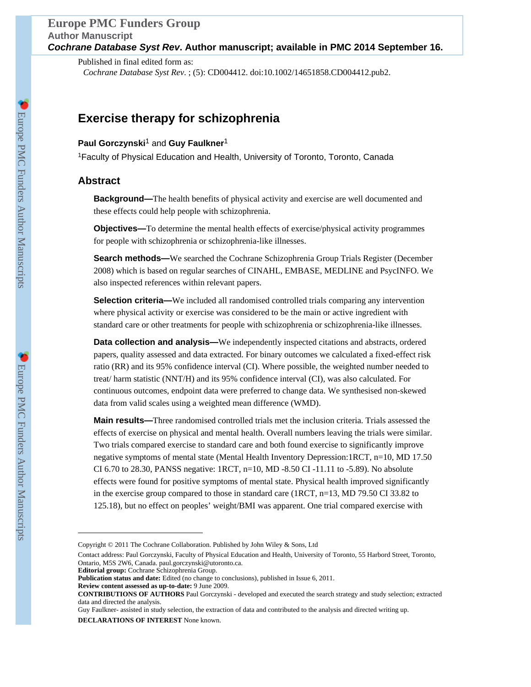Published in final edited form as: *Cochrane Database Syst Rev*. ; (5): CD004412. doi:10.1002/14651858.CD004412.pub2.

## **Exercise therapy for schizophrenia**

## **Paul Gorczynski**1 and **Guy Faulkner**<sup>1</sup>

<sup>1</sup>Faculty of Physical Education and Health, University of Toronto, Toronto, Canada

## **Abstract**

**Background—**The health benefits of physical activity and exercise are well documented and these effects could help people with schizophrenia.

**Objectives—**To determine the mental health effects of exercise/physical activity programmes for people with schizophrenia or schizophrenia-like illnesses.

**Search methods—**We searched the Cochrane Schizophrenia Group Trials Register (December 2008) which is based on regular searches of CINAHL, EMBASE, MEDLINE and PsycINFO. We also inspected references within relevant papers.

**Selection criteria—**We included all randomised controlled trials comparing any intervention where physical activity or exercise was considered to be the main or active ingredient with standard care or other treatments for people with schizophrenia or schizophrenia-like illnesses.

**Data collection and analysis—**We independently inspected citations and abstracts, ordered papers, quality assessed and data extracted. For binary outcomes we calculated a fixed-effect risk ratio (RR) and its 95% confidence interval (CI). Where possible, the weighted number needed to treat/ harm statistic (NNT/H) and its 95% confidence interval (CI), was also calculated. For continuous outcomes, endpoint data were preferred to change data. We synthesised non-skewed data from valid scales using a weighted mean difference (WMD).

**Main results—**Three randomised controlled trials met the inclusion criteria. Trials assessed the effects of exercise on physical and mental health. Overall numbers leaving the trials were similar. Two trials compared exercise to standard care and both found exercise to significantly improve negative symptoms of mental state (Mental Health Inventory Depression:1RCT, n=10, MD 17.50 CI 6.70 to 28.30, PANSS negative: 1RCT, n=10, MD -8.50 CI -11.11 to -5.89). No absolute effects were found for positive symptoms of mental state. Physical health improved significantly in the exercise group compared to those in standard care (1RCT, n=13, MD 79.50 CI 33.82 to 125.18), but no effect on peoples' weight/BMI was apparent. One trial compared exercise with

**DECLARATIONS OF INTEREST** None known.

Copyright © 2011 The Cochrane Collaboration. Published by John Wiley & Sons, Ltd

Contact address: Paul Gorczynski, Faculty of Physical Education and Health, University of Toronto, 55 Harbord Street, Toronto, Ontario, M5S 2W6, Canada. paul.gorczynski@utoronto.ca. **Editorial group:** Cochrane Schizophrenia Group.

**Publication status and date:** Edited (no change to conclusions), published in Issue 6, 2011.

**Review content assessed as up-to-date:** 9 June 2009.

**CONTRIBUTIONS OF AUTHORS** Paul Gorczynski - developed and executed the search strategy and study selection; extracted data and directed the analysis.

Guy Faulkner- assisted in study selection, the extraction of data and contributed to the analysis and directed writing up.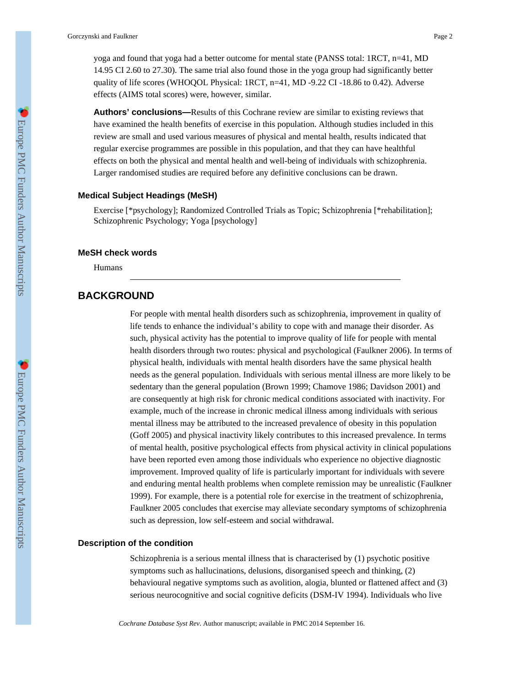yoga and found that yoga had a better outcome for mental state (PANSS total: 1RCT, n=41, MD 14.95 CI 2.60 to 27.30). The same trial also found those in the yoga group had significantly better quality of life scores (WHOQOL Physical: 1RCT, n=41, MD -9.22 CI -18.86 to 0.42). Adverse effects (AIMS total scores) were, however, similar.

**Authors' conclusions—**Results of this Cochrane review are similar to existing reviews that have examined the health benefits of exercise in this population. Although studies included in this review are small and used various measures of physical and mental health, results indicated that regular exercise programmes are possible in this population, and that they can have healthful effects on both the physical and mental health and well-being of individuals with schizophrenia. Larger randomised studies are required before any definitive conclusions can be drawn.

### **Medical Subject Headings (MeSH)**

Exercise [\*psychology]; Randomized Controlled Trials as Topic; Schizophrenia [\*rehabilitation]; Schizophrenic Psychology; Yoga [psychology]

### **MeSH check words**

Humans

## **BACKGROUND**

For people with mental health disorders such as schizophrenia, improvement in quality of life tends to enhance the individual's ability to cope with and manage their disorder. As such, physical activity has the potential to improve quality of life for people with mental health disorders through two routes: physical and psychological (Faulkner 2006). In terms of physical health, individuals with mental health disorders have the same physical health needs as the general population. Individuals with serious mental illness are more likely to be sedentary than the general population (Brown 1999; Chamove 1986; Davidson 2001) and are consequently at high risk for chronic medical conditions associated with inactivity. For example, much of the increase in chronic medical illness among individuals with serious mental illness may be attributed to the increased prevalence of obesity in this population (Goff 2005) and physical inactivity likely contributes to this increased prevalence. In terms of mental health, positive psychological effects from physical activity in clinical populations have been reported even among those individuals who experience no objective diagnostic improvement. Improved quality of life is particularly important for individuals with severe and enduring mental health problems when complete remission may be unrealistic (Faulkner 1999). For example, there is a potential role for exercise in the treatment of schizophrenia, Faulkner 2005 concludes that exercise may alleviate secondary symptoms of schizophrenia such as depression, low self-esteem and social withdrawal.

### **Description of the condition**

Schizophrenia is a serious mental illness that is characterised by (1) psychotic positive symptoms such as hallucinations, delusions, disorganised speech and thinking, (2) behavioural negative symptoms such as avolition, alogia, blunted or flattened affect and (3) serious neurocognitive and social cognitive deficits (DSM-IV 1994). Individuals who live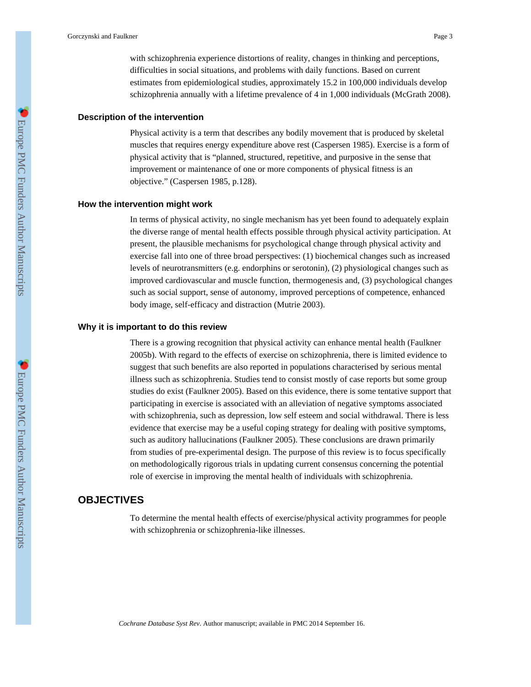with schizophrenia experience distortions of reality, changes in thinking and perceptions, difficulties in social situations, and problems with daily functions. Based on current estimates from epidemiological studies, approximately 15.2 in 100,000 individuals develop schizophrenia annually with a lifetime prevalence of 4 in 1,000 individuals (McGrath 2008).

### **Description of the intervention**

Physical activity is a term that describes any bodily movement that is produced by skeletal muscles that requires energy expenditure above rest (Caspersen 1985). Exercise is a form of physical activity that is "planned, structured, repetitive, and purposive in the sense that improvement or maintenance of one or more components of physical fitness is an objective." (Caspersen 1985, p.128).

### **How the intervention might work**

In terms of physical activity, no single mechanism has yet been found to adequately explain the diverse range of mental health effects possible through physical activity participation. At present, the plausible mechanisms for psychological change through physical activity and exercise fall into one of three broad perspectives: (1) biochemical changes such as increased levels of neurotransmitters (e.g. endorphins or serotonin), (2) physiological changes such as improved cardiovascular and muscle function, thermogenesis and, (3) psychological changes such as social support, sense of autonomy, improved perceptions of competence, enhanced body image, self-efficacy and distraction (Mutrie 2003).

#### **Why it is important to do this review**

There is a growing recognition that physical activity can enhance mental health (Faulkner 2005b). With regard to the effects of exercise on schizophrenia, there is limited evidence to suggest that such benefits are also reported in populations characterised by serious mental illness such as schizophrenia. Studies tend to consist mostly of case reports but some group studies do exist (Faulkner 2005). Based on this evidence, there is some tentative support that participating in exercise is associated with an alleviation of negative symptoms associated with schizophrenia, such as depression, low self esteem and social withdrawal. There is less evidence that exercise may be a useful coping strategy for dealing with positive symptoms, such as auditory hallucinations (Faulkner 2005). These conclusions are drawn primarily from studies of pre-experimental design. The purpose of this review is to focus specifically on methodologically rigorous trials in updating current consensus concerning the potential role of exercise in improving the mental health of individuals with schizophrenia.

## **OBJECTIVES**

To determine the mental health effects of exercise/physical activity programmes for people with schizophrenia or schizophrenia-like illnesses.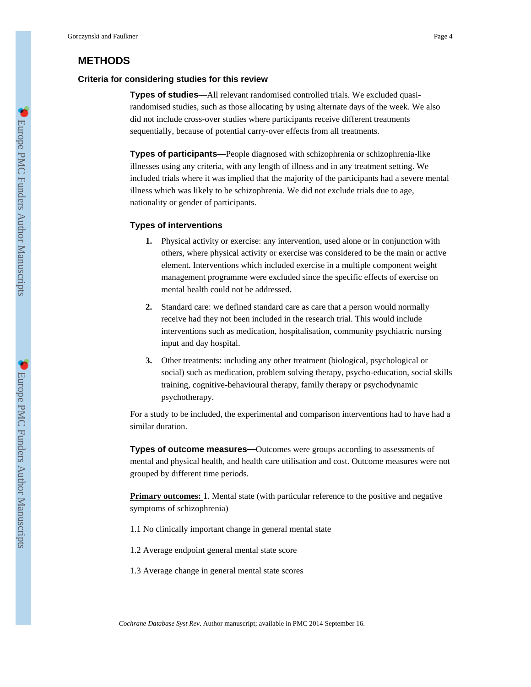## **METHODS**

### **Criteria for considering studies for this review**

**Types of studies—**All relevant randomised controlled trials. We excluded quasirandomised studies, such as those allocating by using alternate days of the week. We also did not include cross-over studies where participants receive different treatments sequentially, because of potential carry-over effects from all treatments.

**Types of participants—**People diagnosed with schizophrenia or schizophrenia-like illnesses using any criteria, with any length of illness and in any treatment setting. We included trials where it was implied that the majority of the participants had a severe mental illness which was likely to be schizophrenia. We did not exclude trials due to age, nationality or gender of participants.

### **Types of interventions**

- **1.** Physical activity or exercise: any intervention, used alone or in conjunction with others, where physical activity or exercise was considered to be the main or active element. Interventions which included exercise in a multiple component weight management programme were excluded since the specific effects of exercise on mental health could not be addressed.
- **2.** Standard care: we defined standard care as care that a person would normally receive had they not been included in the research trial. This would include interventions such as medication, hospitalisation, community psychiatric nursing input and day hospital.
- **3.** Other treatments: including any other treatment (biological, psychological or social) such as medication, problem solving therapy, psycho-education, social skills training, cognitive-behavioural therapy, family therapy or psychodynamic psychotherapy.

For a study to be included, the experimental and comparison interventions had to have had a similar duration.

**Types of outcome measures—**Outcomes were groups according to assessments of mental and physical health, and health care utilisation and cost. Outcome measures were not grouped by different time periods.

**Primary outcomes:** 1. Mental state (with particular reference to the positive and negative symptoms of schizophrenia)

- 1.1 No clinically important change in general mental state
- 1.2 Average endpoint general mental state score
- 1.3 Average change in general mental state scores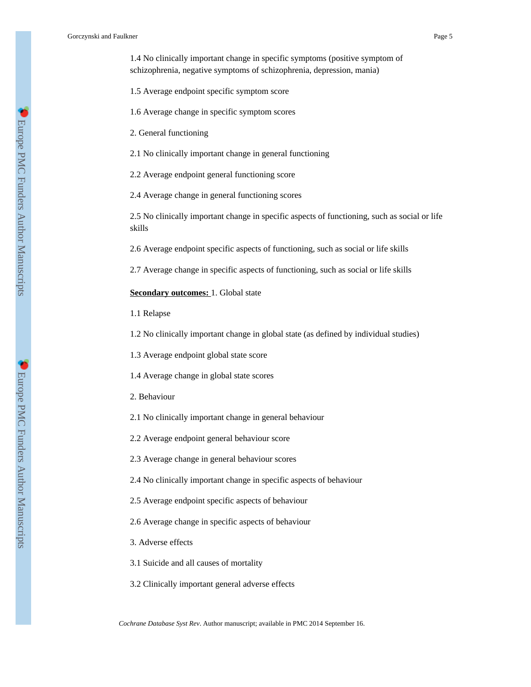1.4 No clinically important change in specific symptoms (positive symptom of schizophrenia, negative symptoms of schizophrenia, depression, mania)

- 1.5 Average endpoint specific symptom score
- 1.6 Average change in specific symptom scores
- 2. General functioning

2.1 No clinically important change in general functioning

2.2 Average endpoint general functioning score

2.4 Average change in general functioning scores

2.5 No clinically important change in specific aspects of functioning, such as social or life skills

2.6 Average endpoint specific aspects of functioning, such as social or life skills

2.7 Average change in specific aspects of functioning, such as social or life skills

**Secondary outcomes:** 1. Global state

1.1 Relapse

1.2 No clinically important change in global state (as defined by individual studies)

1.3 Average endpoint global state score

1.4 Average change in global state scores

2. Behaviour

2.1 No clinically important change in general behaviour

2.2 Average endpoint general behaviour score

2.3 Average change in general behaviour scores

2.4 No clinically important change in specific aspects of behaviour

2.5 Average endpoint specific aspects of behaviour

2.6 Average change in specific aspects of behaviour

3. Adverse effects

3.1 Suicide and all causes of mortality

3.2 Clinically important general adverse effects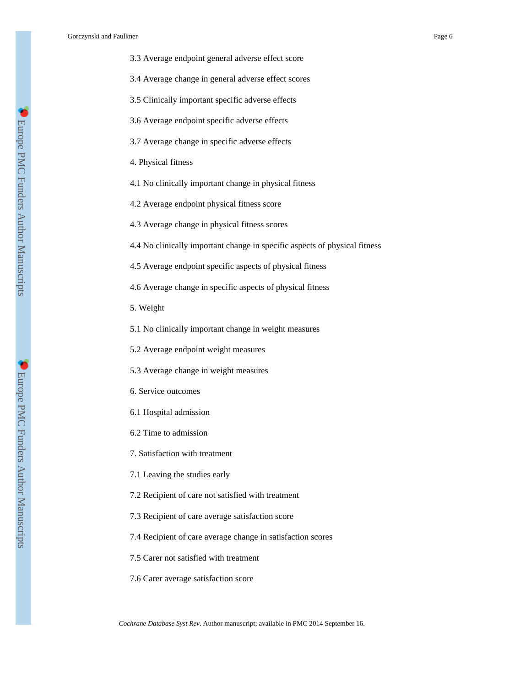- 3.3 Average endpoint general adverse effect score
- 3.4 Average change in general adverse effect scores
- 3.5 Clinically important specific adverse effects
- 3.6 Average endpoint specific adverse effects
- 3.7 Average change in specific adverse effects
- 4. Physical fitness
- 4.1 No clinically important change in physical fitness
- 4.2 Average endpoint physical fitness score
- 4.3 Average change in physical fitness scores
- 4.4 No clinically important change in specific aspects of physical fitness
- 4.5 Average endpoint specific aspects of physical fitness
- 4.6 Average change in specific aspects of physical fitness
- 5. Weight
- 5.1 No clinically important change in weight measures
- 5.2 Average endpoint weight measures
- 5.3 Average change in weight measures
- 6. Service outcomes
- 6.1 Hospital admission
- 6.2 Time to admission
- 7. Satisfaction with treatment
- 7.1 Leaving the studies early
- 7.2 Recipient of care not satisfied with treatment
- 7.3 Recipient of care average satisfaction score
- 7.4 Recipient of care average change in satisfaction scores
- 7.5 Carer not satisfied with treatment
- 7.6 Carer average satisfaction score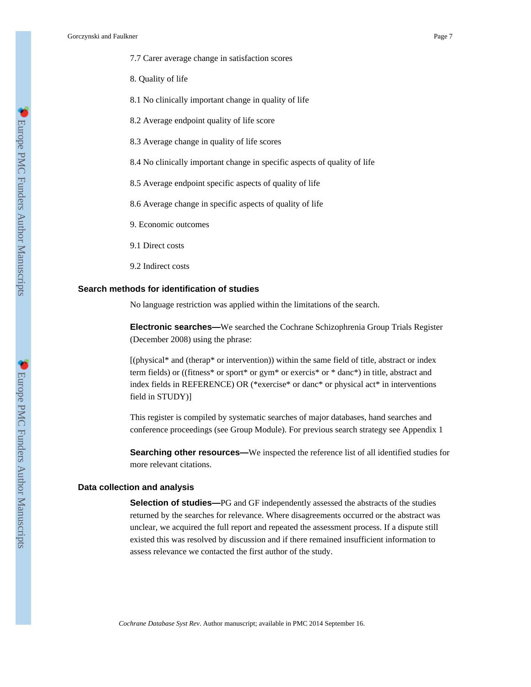8. Quality of life

8.1 No clinically important change in quality of life

- 8.2 Average endpoint quality of life score
- 8.3 Average change in quality of life scores

8.4 No clinically important change in specific aspects of quality of life

8.5 Average endpoint specific aspects of quality of life

8.6 Average change in specific aspects of quality of life

9. Economic outcomes

9.1 Direct costs

9.2 Indirect costs

### **Search methods for identification of studies**

No language restriction was applied within the limitations of the search.

**Electronic searches—**We searched the Cochrane Schizophrenia Group Trials Register (December 2008) using the phrase:

[(physical\* and (therap\* or intervention)) within the same field of title, abstract or index term fields) or ((fitness\* or sport\* or gym\* or exercis\* or \* danc\*) in title, abstract and index fields in REFERENCE) OR (\*exercise\* or danc\* or physical act\* in interventions field in STUDY)]

This register is compiled by systematic searches of major databases, hand searches and conference proceedings (see Group Module). For previous search strategy see Appendix 1

**Searching other resources—**We inspected the reference list of all identified studies for more relevant citations.

### **Data collection and analysis**

**Selection of studies—**PG and GF independently assessed the abstracts of the studies returned by the searches for relevance. Where disagreements occurred or the abstract was unclear, we acquired the full report and repeated the assessment process. If a dispute still existed this was resolved by discussion and if there remained insufficient information to assess relevance we contacted the first author of the study.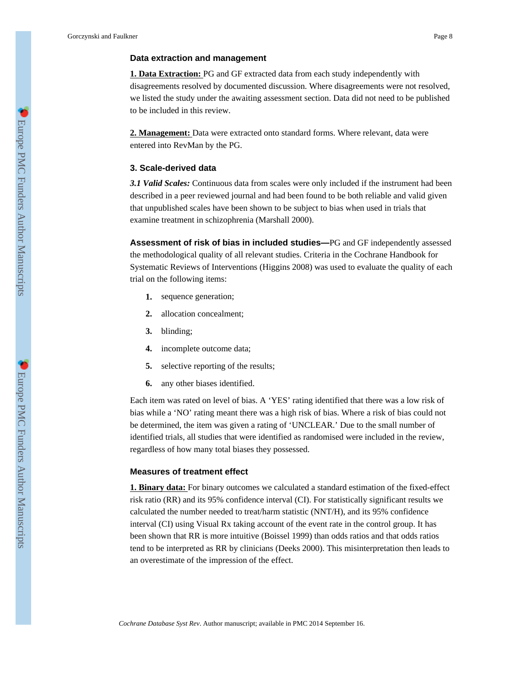### **Data extraction and management**

**1. Data Extraction:** PG and GF extracted data from each study independently with disagreements resolved by documented discussion. Where disagreements were not resolved, we listed the study under the awaiting assessment section. Data did not need to be published to be included in this review.

**2. Management:** Data were extracted onto standard forms. Where relevant, data were entered into RevMan by the PG.

### **3. Scale-derived data**

*3.1 Valid Scales:* Continuous data from scales were only included if the instrument had been described in a peer reviewed journal and had been found to be both reliable and valid given that unpublished scales have been shown to be subject to bias when used in trials that examine treatment in schizophrenia (Marshall 2000).

**Assessment of risk of bias in included studies—**PG and GF independently assessed the methodological quality of all relevant studies. Criteria in the Cochrane Handbook for Systematic Reviews of Interventions (Higgins 2008) was used to evaluate the quality of each trial on the following items:

- **1.** sequence generation;
- **2.** allocation concealment;
- **3.** blinding;
- **4.** incomplete outcome data;
- **5.** selective reporting of the results;
- **6.** any other biases identified.

Each item was rated on level of bias. A 'YES' rating identified that there was a low risk of bias while a 'NO' rating meant there was a high risk of bias. Where a risk of bias could not be determined, the item was given a rating of 'UNCLEAR.' Due to the small number of identified trials, all studies that were identified as randomised were included in the review, regardless of how many total biases they possessed.

### **Measures of treatment effect**

**1. Binary data:** For binary outcomes we calculated a standard estimation of the fixed-effect risk ratio (RR) and its 95% confidence interval (CI). For statistically significant results we calculated the number needed to treat/harm statistic (NNT/H), and its 95% confidence interval (CI) using Visual Rx taking account of the event rate in the control group. It has been shown that RR is more intuitive (Boissel 1999) than odds ratios and that odds ratios tend to be interpreted as RR by clinicians (Deeks 2000). This misinterpretation then leads to an overestimate of the impression of the effect.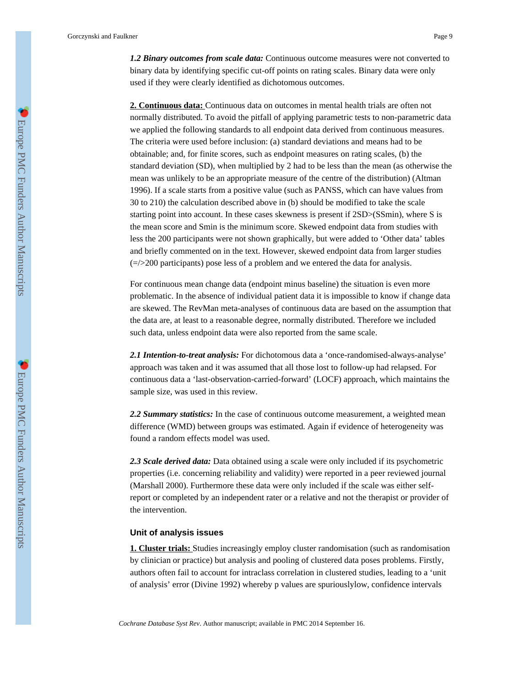*1.2 Binary outcomes from scale data:* Continuous outcome measures were not converted to binary data by identifying specific cut-off points on rating scales. Binary data were only used if they were clearly identified as dichotomous outcomes.

**2. Continuous data:** Continuous data on outcomes in mental health trials are often not normally distributed. To avoid the pitfall of applying parametric tests to non-parametric data we applied the following standards to all endpoint data derived from continuous measures. The criteria were used before inclusion: (a) standard deviations and means had to be obtainable; and, for finite scores, such as endpoint measures on rating scales, (b) the standard deviation (SD), when multiplied by 2 had to be less than the mean (as otherwise the mean was unlikely to be an appropriate measure of the centre of the distribution) (Altman 1996). If a scale starts from a positive value (such as PANSS, which can have values from 30 to 210) the calculation described above in (b) should be modified to take the scale starting point into account. In these cases skewness is present if 2SD>(SSmin), where S is the mean score and Smin is the minimum score. Skewed endpoint data from studies with less the 200 participants were not shown graphically, but were added to 'Other data' tables and briefly commented on in the text. However, skewed endpoint data from larger studies  $\left(\frac{\epsilon}{2}\right)$  participants) pose less of a problem and we entered the data for analysis.

For continuous mean change data (endpoint minus baseline) the situation is even more problematic. In the absence of individual patient data it is impossible to know if change data are skewed. The RevMan meta-analyses of continuous data are based on the assumption that the data are, at least to a reasonable degree, normally distributed. Therefore we included such data, unless endpoint data were also reported from the same scale.

*2.1 Intention-to-treat analysis:* For dichotomous data a 'once-randomised-always-analyse' approach was taken and it was assumed that all those lost to follow-up had relapsed. For continuous data a 'last-observation-carried-forward' (LOCF) approach, which maintains the sample size, was used in this review.

2.2 Summary statistics: In the case of continuous outcome measurement, a weighted mean difference (WMD) between groups was estimated. Again if evidence of heterogeneity was found a random effects model was used.

2.3 Scale derived data: Data obtained using a scale were only included if its psychometric properties (i.e. concerning reliability and validity) were reported in a peer reviewed journal (Marshall 2000). Furthermore these data were only included if the scale was either selfreport or completed by an independent rater or a relative and not the therapist or provider of the intervention.

#### **Unit of analysis issues**

**1. Cluster trials:** Studies increasingly employ cluster randomisation (such as randomisation by clinician or practice) but analysis and pooling of clustered data poses problems. Firstly, authors often fail to account for intraclass correlation in clustered studies, leading to a 'unit of analysis' error (Divine 1992) whereby p values are spuriouslylow, confidence intervals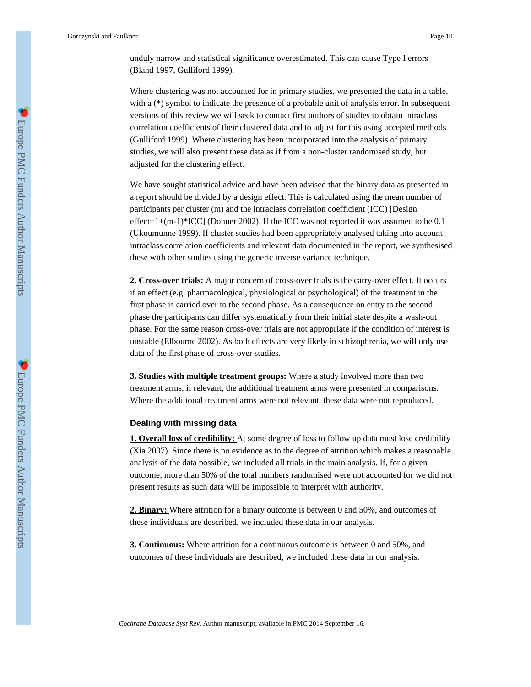unduly narrow and statistical significance overestimated. This can cause Type I errors (Bland 1997, Gulliford 1999).

Where clustering was not accounted for in primary studies, we presented the data in a table, with a (\*) symbol to indicate the presence of a probable unit of analysis error. In subsequent versions of this review we will seek to contact first authors of studies to obtain intraclass correlation coefficients of their clustered data and to adjust for this using accepted methods (Gulliford 1999). Where clustering has been incorporated into the analysis of primary studies, we will also present these data as if from a non-cluster randomised study, but adjusted for the clustering effect.

We have sought statistical advice and have been advised that the binary data as presented in a report should be divided by a design effect. This is calculated using the mean number of participants per cluster (m) and the intraclass correlation coefficient (ICC) [Design effect=1+(m-1)\*ICC] (Donner 2002). If the ICC was not reported it was assumed to be 0.1 (Ukoumunne 1999). If cluster studies had been appropriately analysed taking into account intraclass correlation coefficients and relevant data documented in the report, we synthesised these with other studies using the generic inverse variance technique.

**2. Cross-over trials:** A major concern of cross-over trials is the carry-over effect. It occurs if an effect (e.g. pharmacological, physiological or psychological) of the treatment in the first phase is carried over to the second phase. As a consequence on entry to the second phase the participants can differ systematically from their initial state despite a wash-out phase. For the same reason cross-over trials are not appropriate if the condition of interest is unstable (Elbourne 2002). As both effects are very likely in schizophrenia, we will only use data of the first phase of cross-over studies.

**3. Studies with multiple treatment groups:** Where a study involved more than two treatment arms, if relevant, the additional treatment arms were presented in comparisons. Where the additional treatment arms were not relevant, these data were not reproduced.

#### **Dealing with missing data**

**1. Overall loss of credibility:** At some degree of loss to follow up data must lose credibility (Xia 2007). Since there is no evidence as to the degree of attrition which makes a reasonable analysis of the data possible, we included all trials in the main analysis. If, for a given outcome, more than 50% of the total numbers randomised were not accounted for we did not present results as such data will be impossible to interpret with authority.

**2. Binary:** Where attrition for a binary outcome is between 0 and 50%, and outcomes of these individuals are described, we included these data in our analysis.

**3. Continuous:** Where attrition for a continuous outcome is between 0 and 50%, and outcomes of these individuals are described, we included these data in our analysis.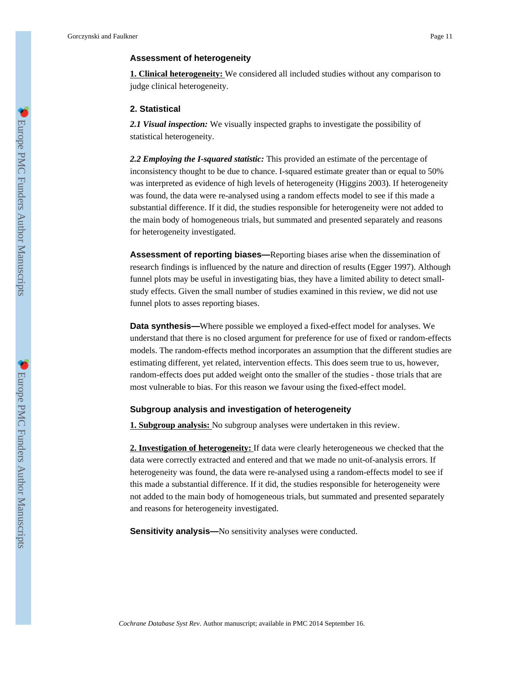### **Assessment of heterogeneity**

**1. Clinical heterogeneity:** We considered all included studies without any comparison to judge clinical heterogeneity.

### **2. Statistical**

*2.1 Visual inspection:* We visually inspected graphs to investigate the possibility of statistical heterogeneity.

*2.2 Employing the I-squared statistic:* This provided an estimate of the percentage of inconsistency thought to be due to chance. I-squared estimate greater than or equal to 50% was interpreted as evidence of high levels of heterogeneity (Higgins 2003). If heterogeneity was found, the data were re-analysed using a random effects model to see if this made a substantial difference. If it did, the studies responsible for heterogeneity were not added to the main body of homogeneous trials, but summated and presented separately and reasons for heterogeneity investigated.

**Assessment of reporting biases—**Reporting biases arise when the dissemination of research findings is influenced by the nature and direction of results (Egger 1997). Although funnel plots may be useful in investigating bias, they have a limited ability to detect smallstudy effects. Given the small number of studies examined in this review, we did not use funnel plots to asses reporting biases.

**Data synthesis—**Where possible we employed a fixed-effect model for analyses. We understand that there is no closed argument for preference for use of fixed or random-effects models. The random-effects method incorporates an assumption that the different studies are estimating different, yet related, intervention effects. This does seem true to us, however, random-effects does put added weight onto the smaller of the studies - those trials that are most vulnerable to bias. For this reason we favour using the fixed-effect model.

### **Subgroup analysis and investigation of heterogeneity**

**1. Subgroup analysis:** No subgroup analyses were undertaken in this review.

**2. Investigation of heterogeneity:** If data were clearly heterogeneous we checked that the data were correctly extracted and entered and that we made no unit-of-analysis errors. If heterogeneity was found, the data were re-analysed using a random-effects model to see if this made a substantial difference. If it did, the studies responsible for heterogeneity were not added to the main body of homogeneous trials, but summated and presented separately and reasons for heterogeneity investigated.

**Sensitivity analysis—**No sensitivity analyses were conducted.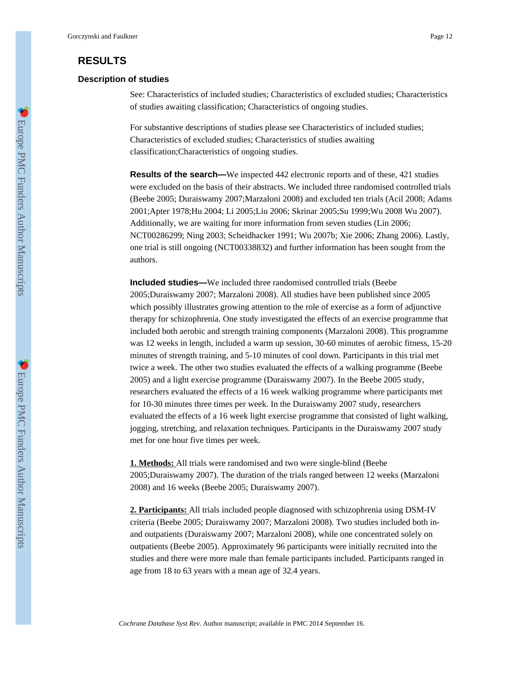## **RESULTS**

### **Description of studies**

See: Characteristics of included studies; Characteristics of excluded studies; Characteristics of studies awaiting classification; Characteristics of ongoing studies.

For substantive descriptions of studies please see Characteristics of included studies; Characteristics of excluded studies; Characteristics of studies awaiting classification;Characteristics of ongoing studies.

**Results of the search—**We inspected 442 electronic reports and of these, 421 studies were excluded on the basis of their abstracts. We included three randomised controlled trials (Beebe 2005; Duraiswamy 2007;Marzaloni 2008) and excluded ten trials (Acil 2008; Adams 2001;Apter 1978;Hu 2004; Li 2005;Liu 2006; Skrinar 2005;Su 1999;Wu 2008 Wu 2007). Additionally, we are waiting for more information from seven studies (Lin 2006; NCT00286299; Ning 2003; Scheidhacker 1991; Wu 2007b; Xie 2006; Zhang 2006). Lastly, one trial is still ongoing (NCT00338832) and further information has been sought from the authors.

**Included studies—**We included three randomised controlled trials (Beebe 2005;Duraiswamy 2007; Marzaloni 2008). All studies have been published since 2005 which possibly illustrates growing attention to the role of exercise as a form of adjunctive therapy for schizophrenia. One study investigated the effects of an exercise programme that included both aerobic and strength training components (Marzaloni 2008). This programme was 12 weeks in length, included a warm up session, 30-60 minutes of aerobic fitness, 15-20 minutes of strength training, and 5-10 minutes of cool down. Participants in this trial met twice a week. The other two studies evaluated the effects of a walking programme (Beebe 2005) and a light exercise programme (Duraiswamy 2007). In the Beebe 2005 study, researchers evaluated the effects of a 16 week walking programme where participants met for 10-30 minutes three times per week. In the Duraiswamy 2007 study, researchers evaluated the effects of a 16 week light exercise programme that consisted of light walking, jogging, stretching, and relaxation techniques. Participants in the Duraiswamy 2007 study met for one hour five times per week.

**1. Methods:** All trials were randomised and two were single-blind (Beebe 2005;Duraiswamy 2007). The duration of the trials ranged between 12 weeks (Marzaloni 2008) and 16 weeks (Beebe 2005; Duraiswamy 2007).

**2. Participants:** All trials included people diagnosed with schizophrenia using DSM-IV criteria (Beebe 2005; Duraiswamy 2007; Marzaloni 2008). Two studies included both inand outpatients (Duraiswamy 2007; Marzaloni 2008), while one concentrated solely on outpatients (Beebe 2005). Approximately 96 participants were initially recruited into the studies and there were more male than female participants included. Participants ranged in age from 18 to 63 years with a mean age of 32.4 years.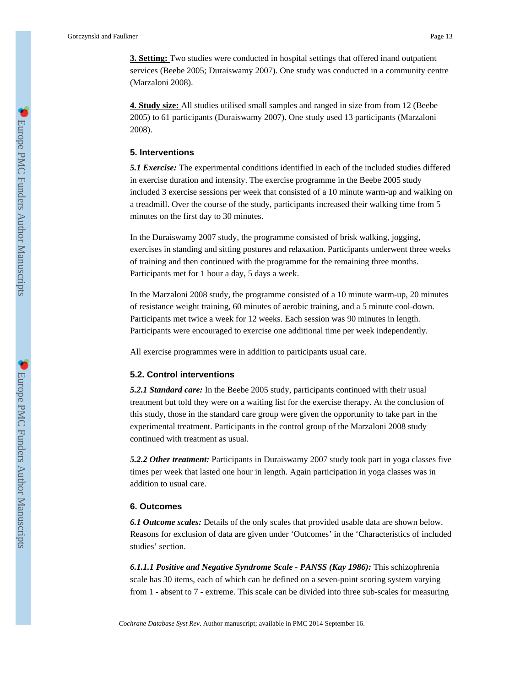**3. Setting:** Two studies were conducted in hospital settings that offered inand outpatient services (Beebe 2005; Duraiswamy 2007). One study was conducted in a community centre (Marzaloni 2008).

**4. Study size:** All studies utilised small samples and ranged in size from from 12 (Beebe 2005) to 61 participants (Duraiswamy 2007). One study used 13 participants (Marzaloni 2008).

### **5. Interventions**

*5.1 Exercise:* The experimental conditions identified in each of the included studies differed in exercise duration and intensity. The exercise programme in the Beebe 2005 study included 3 exercise sessions per week that consisted of a 10 minute warm-up and walking on a treadmill. Over the course of the study, participants increased their walking time from 5 minutes on the first day to 30 minutes.

In the Duraiswamy 2007 study, the programme consisted of brisk walking, jogging, exercises in standing and sitting postures and relaxation. Participants underwent three weeks of training and then continued with the programme for the remaining three months. Participants met for 1 hour a day, 5 days a week.

In the Marzaloni 2008 study, the programme consisted of a 10 minute warm-up, 20 minutes of resistance weight training, 60 minutes of aerobic training, and a 5 minute cool-down. Participants met twice a week for 12 weeks. Each session was 90 minutes in length. Participants were encouraged to exercise one additional time per week independently.

All exercise programmes were in addition to participants usual care.

### **5.2. Control interventions**

*5.2.1 Standard care:* In the Beebe 2005 study, participants continued with their usual treatment but told they were on a waiting list for the exercise therapy. At the conclusion of this study, those in the standard care group were given the opportunity to take part in the experimental treatment. Participants in the control group of the Marzaloni 2008 study continued with treatment as usual.

*5.2.2 Other treatment:* Participants in Duraiswamy 2007 study took part in yoga classes five times per week that lasted one hour in length. Again participation in yoga classes was in addition to usual care.

### **6. Outcomes**

*6.1 Outcome scales:* Details of the only scales that provided usable data are shown below. Reasons for exclusion of data are given under 'Outcomes' in the 'Characteristics of included studies' section.

*6.1.1.1 Positive and Negative Syndrome Scale - PANSS (Kay 1986):* This schizophrenia scale has 30 items, each of which can be defined on a seven-point scoring system varying from 1 - absent to 7 - extreme. This scale can be divided into three sub-scales for measuring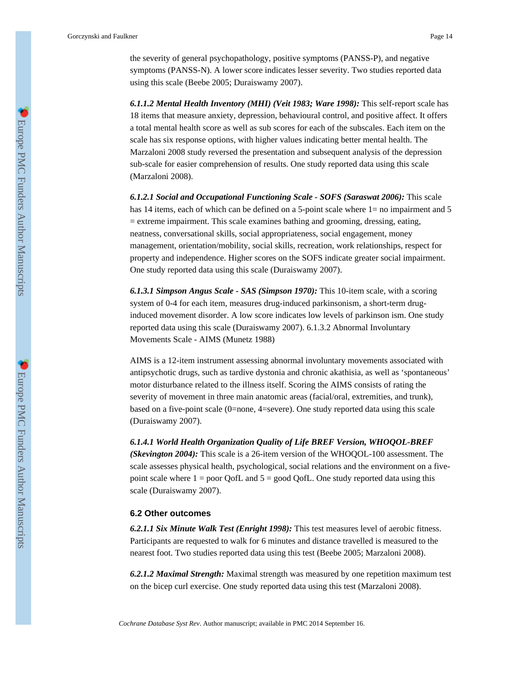the severity of general psychopathology, positive symptoms (PANSS-P), and negative symptoms (PANSS-N). A lower score indicates lesser severity. Two studies reported data using this scale (Beebe 2005; Duraiswamy 2007).

*6.1.1.2 Mental Health Inventory (MHI) (Veit 1983; Ware 1998):* This self-report scale has 18 items that measure anxiety, depression, behavioural control, and positive affect. It offers a total mental health score as well as sub scores for each of the subscales. Each item on the scale has six response options, with higher values indicating better mental health. The Marzaloni 2008 study reversed the presentation and subsequent analysis of the depression sub-scale for easier comprehension of results. One study reported data using this scale (Marzaloni 2008).

*6.1.2.1 Social and Occupational Functioning Scale - SOFS (Saraswat 2006):* This scale has 14 items, each of which can be defined on a 5-point scale where 1= no impairment and 5 = extreme impairment. This scale examines bathing and grooming, dressing, eating, neatness, conversational skills, social appropriateness, social engagement, money management, orientation/mobility, social skills, recreation, work relationships, respect for property and independence. Higher scores on the SOFS indicate greater social impairment. One study reported data using this scale (Duraiswamy 2007).

*6.1.3.1 Simpson Angus Scale - SAS (Simpson 1970):* This 10-item scale, with a scoring system of 0-4 for each item, measures drug-induced parkinsonism, a short-term druginduced movement disorder. A low score indicates low levels of parkinson ism. One study reported data using this scale (Duraiswamy 2007). 6.1.3.2 Abnormal Involuntary Movements Scale - AIMS (Munetz 1988)

AIMS is a 12-item instrument assessing abnormal involuntary movements associated with antipsychotic drugs, such as tardive dystonia and chronic akathisia, as well as 'spontaneous' motor disturbance related to the illness itself. Scoring the AIMS consists of rating the severity of movement in three main anatomic areas (facial/oral, extremities, and trunk), based on a five-point scale (0=none, 4=severe). One study reported data using this scale (Duraiswamy 2007).

*6.1.4.1 World Health Organization Quality of Life BREF Version, WHOQOL-BREF*

*(Skevington 2004):* This scale is a 26-item version of the WHOQOL-100 assessment. The scale assesses physical health, psychological, social relations and the environment on a fivepoint scale where  $1 =$  poor QofL and  $5 =$  good QofL. One study reported data using this scale (Duraiswamy 2007).

#### **6.2 Other outcomes**

*6.2.1.1 Six Minute Walk Test (Enright 1998):* This test measures level of aerobic fitness. Participants are requested to walk for 6 minutes and distance travelled is measured to the nearest foot. Two studies reported data using this test (Beebe 2005; Marzaloni 2008).

*6.2.1.2 Maximal Strength:* Maximal strength was measured by one repetition maximum test on the bicep curl exercise. One study reported data using this test (Marzaloni 2008).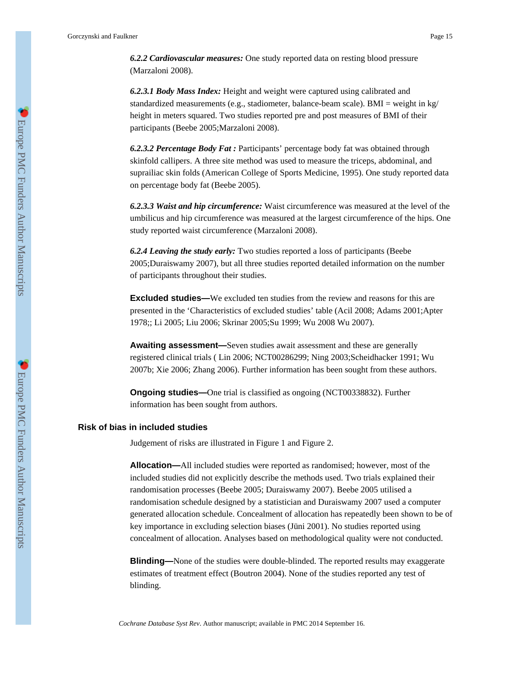*6.2.2 Cardiovascular measures:* One study reported data on resting blood pressure (Marzaloni 2008).

*6.2.3.1 Body Mass Index:* Height and weight were captured using calibrated and standardized measurements (e.g., stadiometer, balance-beam scale). BMI = weight in kg/ height in meters squared. Two studies reported pre and post measures of BMI of their participants (Beebe 2005;Marzaloni 2008).

*6.2.3.2 Percentage Body Fat :* Participants' percentage body fat was obtained through skinfold callipers. A three site method was used to measure the triceps, abdominal, and suprailiac skin folds (American College of Sports Medicine, 1995). One study reported data on percentage body fat (Beebe 2005).

*6.2.3.3 Waist and hip circumference:* Waist circumference was measured at the level of the umbilicus and hip circumference was measured at the largest circumference of the hips. One study reported waist circumference (Marzaloni 2008).

*6.2.4 Leaving the study early:* Two studies reported a loss of participants (Beebe 2005;Duraiswamy 2007), but all three studies reported detailed information on the number of participants throughout their studies.

**Excluded studies—**We excluded ten studies from the review and reasons for this are presented in the 'Characteristics of excluded studies' table (Acil 2008; Adams 2001;Apter 1978;; Li 2005; Liu 2006; Skrinar 2005;Su 1999; Wu 2008 Wu 2007).

**Awaiting assessment—**Seven studies await assessment and these are generally registered clinical trials ( Lin 2006; NCT00286299; Ning 2003;Scheidhacker 1991; Wu 2007b; Xie 2006; Zhang 2006). Further information has been sought from these authors.

**Ongoing studies—One trial is classified as ongoing (NCT00338832). Further** information has been sought from authors.

### **Risk of bias in included studies**

Judgement of risks are illustrated in Figure 1 and Figure 2.

**Allocation—**All included studies were reported as randomised; however, most of the included studies did not explicitly describe the methods used. Two trials explained their randomisation processes (Beebe 2005; Duraiswamy 2007). Beebe 2005 utilised a randomisation schedule designed by a statistician and Duraiswamy 2007 used a computer generated allocation schedule. Concealment of allocation has repeatedly been shown to be of key importance in excluding selection biases (Jüni 2001). No studies reported using concealment of allocation. Analyses based on methodological quality were not conducted.

**Blinding—**None of the studies were double-blinded. The reported results may exaggerate estimates of treatment effect (Boutron 2004). None of the studies reported any test of blinding.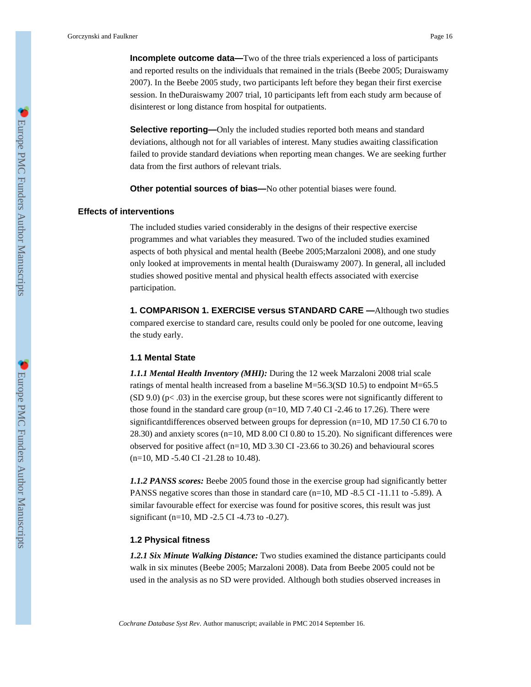**Selective reporting—Only** the included studies reported both means and standard deviations, although not for all variables of interest. Many studies awaiting classification failed to provide standard deviations when reporting mean changes. We are seeking further data from the first authors of relevant trials.

**Other potential sources of bias—**No other potential biases were found.

### **Effects of interventions**

The included studies varied considerably in the designs of their respective exercise programmes and what variables they measured. Two of the included studies examined aspects of both physical and mental health (Beebe 2005;Marzaloni 2008), and one study only looked at improvements in mental health (Duraiswamy 2007). In general, all included studies showed positive mental and physical health effects associated with exercise participation.

**1. COMPARISON 1. EXERCISE versus STANDARD CARE —**Although two studies compared exercise to standard care, results could only be pooled for one outcome, leaving the study early.

### **1.1 Mental State**

*1.1.1 Mental Health Inventory (MHI):* During the 12 week Marzaloni 2008 trial scale ratings of mental health increased from a baseline M=56.3(SD 10.5) to endpoint M=65.5  $(SD 9.0)$  (p< .03) in the exercise group, but these scores were not significantly different to those found in the standard care group (n=10, MD 7.40 CI -2.46 to 17.26). There were significantdifferences observed between groups for depression (n=10, MD 17.50 CI 6.70 to 28.30) and anxiety scores (n=10, MD 8.00 CI 0.80 to 15.20). No significant differences were observed for positive affect (n=10, MD 3.30 CI -23.66 to 30.26) and behavioural scores (n=10, MD -5.40 CI -21.28 to 10.48).

*1.1.2 PANSS scores:* Beebe 2005 found those in the exercise group had significantly better PANSS negative scores than those in standard care (n=10, MD -8.5 CI -11.11 to -5.89). A similar favourable effect for exercise was found for positive scores, this result was just significant (n=10, MD -2.5 CI -4.73 to -0.27).

### **1.2 Physical fitness**

*1.2.1 Six Minute Walking Distance:* Two studies examined the distance participants could walk in six minutes (Beebe 2005; Marzaloni 2008). Data from Beebe 2005 could not be used in the analysis as no SD were provided. Although both studies observed increases in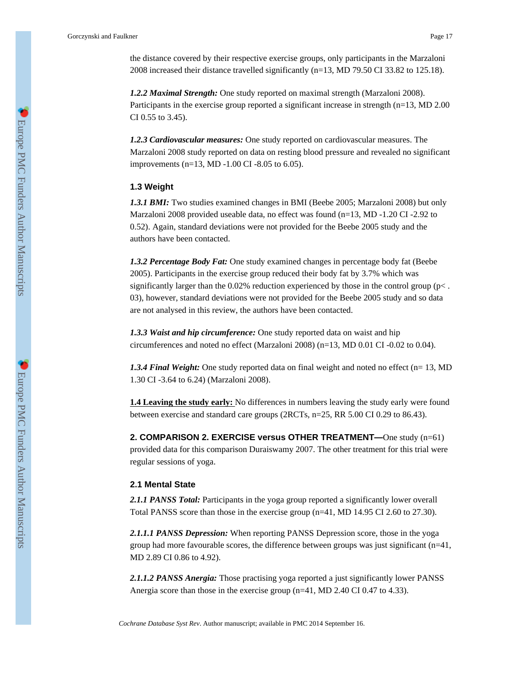the distance covered by their respective exercise groups, only participants in the Marzaloni 2008 increased their distance travelled significantly (n=13, MD 79.50 CI 33.82 to 125.18).

*1.2.2 Maximal Strength:* One study reported on maximal strength (Marzaloni 2008). Participants in the exercise group reported a significant increase in strength (n=13, MD 2.00 CI 0.55 to 3.45).

*1.2.3 Cardiovascular measures:* One study reported on cardiovascular measures. The Marzaloni 2008 study reported on data on resting blood pressure and revealed no significant improvements (n=13, MD -1.00 CI -8.05 to 6.05).

### **1.3 Weight**

*1.3.1 BMI:* Two studies examined changes in BMI (Beebe 2005; Marzaloni 2008) but only Marzaloni 2008 provided useable data, no effect was found (n=13, MD -1.20 CI -2.92 to 0.52). Again, standard deviations were not provided for the Beebe 2005 study and the authors have been contacted.

*1.3.2 Percentage Body Fat:* One study examined changes in percentage body fat (Beebe 2005). Participants in the exercise group reduced their body fat by 3.7% which was significantly larger than the 0.02% reduction experienced by those in the control group ( $p<$ . 03), however, standard deviations were not provided for the Beebe 2005 study and so data are not analysed in this review, the authors have been contacted.

*1.3.3 Waist and hip circumference:* One study reported data on waist and hip circumferences and noted no effect (Marzaloni 2008) (n=13, MD 0.01 CI -0.02 to 0.04).

*1.3.4 Final Weight:* One study reported data on final weight and noted no effect (n= 13, MD) 1.30 CI -3.64 to 6.24) (Marzaloni 2008).

**1.4 Leaving the study early:** No differences in numbers leaving the study early were found between exercise and standard care groups (2RCTs, n=25, RR 5.00 CI 0.29 to 86.43).

**2. COMPARISON 2. EXERCISE versus OTHER TREATMENT—**One study (n=61) provided data for this comparison Duraiswamy 2007. The other treatment for this trial were regular sessions of yoga.

### **2.1 Mental State**

*2.1.1 PANSS Total:* Participants in the yoga group reported a significantly lower overall Total PANSS score than those in the exercise group (n=41, MD 14.95 CI 2.60 to 27.30).

*2.1.1.1 PANSS Depression:* When reporting PANSS Depression score, those in the yoga group had more favourable scores, the difference between groups was just significant (n=41, MD 2.89 CI 0.86 to 4.92).

*2.1.1.2 PANSS Anergia:* Those practising yoga reported a just significantly lower PANSS Anergia score than those in the exercise group (n=41, MD 2.40 CI 0.47 to 4.33).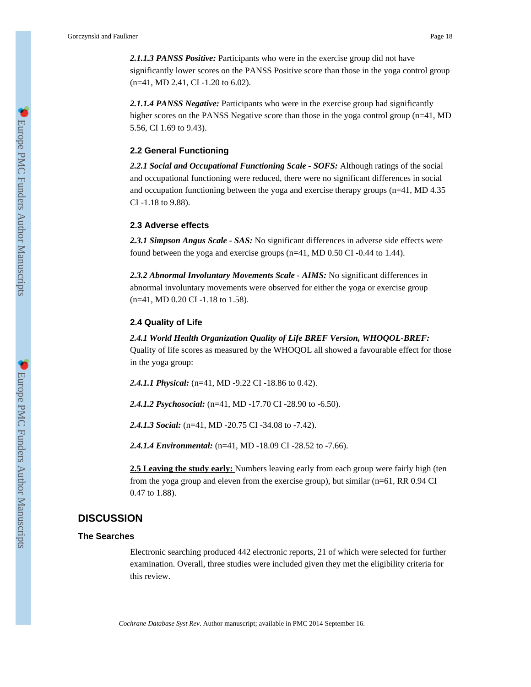*2.1.1.3 PANSS Positive:* Participants who were in the exercise group did not have significantly lower scores on the PANSS Positive score than those in the yoga control group (n=41, MD 2.41, CI -1.20 to 6.02).

*2.1.1.4 PANSS Negative:* Participants who were in the exercise group had significantly higher scores on the PANSS Negative score than those in the yoga control group (n=41, MD) 5.56, CI 1.69 to 9.43).

### **2.2 General Functioning**

*2.2.1 Social and Occupational Functioning Scale - SOFS:* Although ratings of the social and occupational functioning were reduced, there were no significant differences in social and occupation functioning between the yoga and exercise therapy groups (n=41, MD 4.35 CI -1.18 to 9.88).

### **2.3 Adverse effects**

*2.3.1 Simpson Angus Scale - SAS:* No significant differences in adverse side effects were found between the yoga and exercise groups (n=41, MD 0.50 CI -0.44 to 1.44).

*2.3.2 Abnormal Involuntary Movements Scale - AIMS:* No significant differences in abnormal involuntary movements were observed for either the yoga or exercise group (n=41, MD 0.20 CI -1.18 to 1.58).

### **2.4 Quality of Life**

*2.4.1 World Health Organization Quality of Life BREF Version, WHOQOL-BREF:* Quality of life scores as measured by the WHOQOL all showed a favourable effect for those in the yoga group:

*2.4.1.1 Physical:* (n=41, MD -9.22 CI -18.86 to 0.42).

*2.4.1.2 Psychosocial:* (n=41, MD -17.70 CI -28.90 to -6.50).

*2.4.1.3 Social:* (n=41, MD -20.75 CI -34.08 to -7.42).

*2.4.1.4 Environmental:* (n=41, MD -18.09 CI -28.52 to -7.66).

**2.5 Leaving the study early:** Numbers leaving early from each group were fairly high (ten from the yoga group and eleven from the exercise group), but similar (n=61, RR 0.94 CI 0.47 to 1.88).

### **DISCUSSION**

### **The Searches**

Electronic searching produced 442 electronic reports, 21 of which were selected for further examination. Overall, three studies were included given they met the eligibility criteria for this review.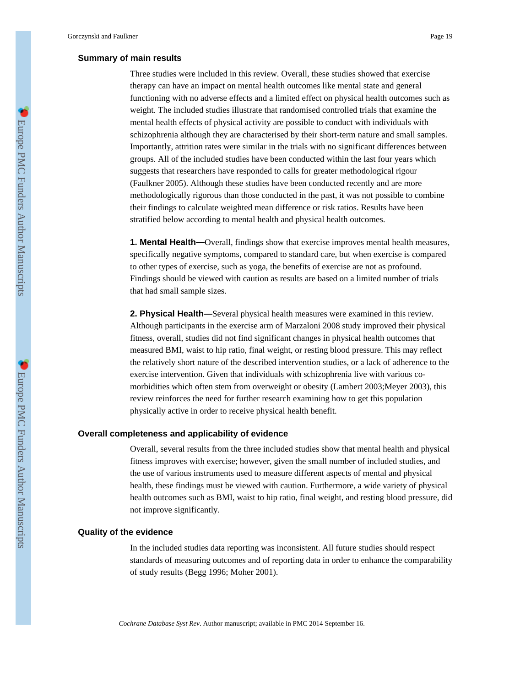### **Summary of main results**

Three studies were included in this review. Overall, these studies showed that exercise therapy can have an impact on mental health outcomes like mental state and general functioning with no adverse effects and a limited effect on physical health outcomes such as weight. The included studies illustrate that randomised controlled trials that examine the mental health effects of physical activity are possible to conduct with individuals with schizophrenia although they are characterised by their short-term nature and small samples. Importantly, attrition rates were similar in the trials with no significant differences between groups. All of the included studies have been conducted within the last four years which suggests that researchers have responded to calls for greater methodological rigour (Faulkner 2005). Although these studies have been conducted recently and are more methodologically rigorous than those conducted in the past, it was not possible to combine their findings to calculate weighted mean difference or risk ratios. Results have been stratified below according to mental health and physical health outcomes.

**1. Mental Health—**Overall, findings show that exercise improves mental health measures, specifically negative symptoms, compared to standard care, but when exercise is compared to other types of exercise, such as yoga, the benefits of exercise are not as profound. Findings should be viewed with caution as results are based on a limited number of trials that had small sample sizes.

**2. Physical Health—**Several physical health measures were examined in this review. Although participants in the exercise arm of Marzaloni 2008 study improved their physical fitness, overall, studies did not find significant changes in physical health outcomes that measured BMI, waist to hip ratio, final weight, or resting blood pressure. This may reflect the relatively short nature of the described intervention studies, or a lack of adherence to the exercise intervention. Given that individuals with schizophrenia live with various comorbidities which often stem from overweight or obesity (Lambert 2003; Meyer 2003), this review reinforces the need for further research examining how to get this population physically active in order to receive physical health benefit.

### **Overall completeness and applicability of evidence**

Overall, several results from the three included studies show that mental health and physical fitness improves with exercise; however, given the small number of included studies, and the use of various instruments used to measure different aspects of mental and physical health, these findings must be viewed with caution. Furthermore, a wide variety of physical health outcomes such as BMI, waist to hip ratio, final weight, and resting blood pressure, did not improve significantly.

#### **Quality of the evidence**

In the included studies data reporting was inconsistent. All future studies should respect standards of measuring outcomes and of reporting data in order to enhance the comparability of study results (Begg 1996; Moher 2001).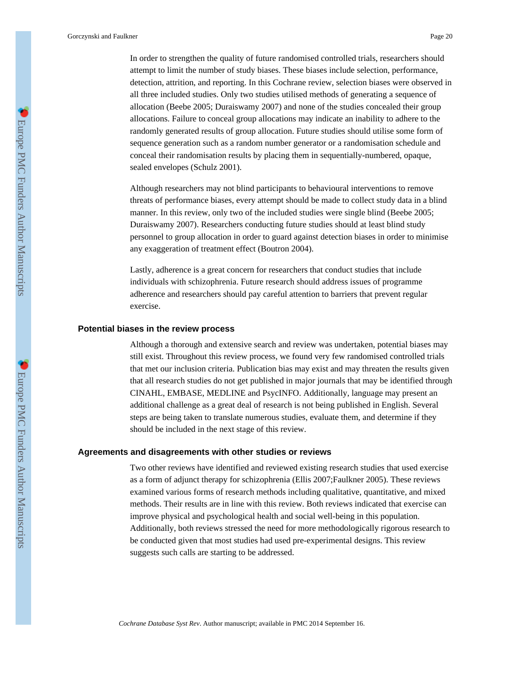In order to strengthen the quality of future randomised controlled trials, researchers should attempt to limit the number of study biases. These biases include selection, performance, detection, attrition, and reporting. In this Cochrane review, selection biases were observed in all three included studies. Only two studies utilised methods of generating a sequence of allocation (Beebe 2005; Duraiswamy 2007) and none of the studies concealed their group allocations. Failure to conceal group allocations may indicate an inability to adhere to the randomly generated results of group allocation. Future studies should utilise some form of sequence generation such as a random number generator or a randomisation schedule and conceal their randomisation results by placing them in sequentially-numbered, opaque, sealed envelopes (Schulz 2001).

Although researchers may not blind participants to behavioural interventions to remove threats of performance biases, every attempt should be made to collect study data in a blind manner. In this review, only two of the included studies were single blind (Beebe 2005; Duraiswamy 2007). Researchers conducting future studies should at least blind study personnel to group allocation in order to guard against detection biases in order to minimise any exaggeration of treatment effect (Boutron 2004).

Lastly, adherence is a great concern for researchers that conduct studies that include individuals with schizophrenia. Future research should address issues of programme adherence and researchers should pay careful attention to barriers that prevent regular exercise.

### **Potential biases in the review process**

Although a thorough and extensive search and review was undertaken, potential biases may still exist. Throughout this review process, we found very few randomised controlled trials that met our inclusion criteria. Publication bias may exist and may threaten the results given that all research studies do not get published in major journals that may be identified through CINAHL, EMBASE, MEDLINE and PsycINFO. Additionally, language may present an additional challenge as a great deal of research is not being published in English. Several steps are being taken to translate numerous studies, evaluate them, and determine if they should be included in the next stage of this review.

### **Agreements and disagreements with other studies or reviews**

Two other reviews have identified and reviewed existing research studies that used exercise as a form of adjunct therapy for schizophrenia (Ellis 2007;Faulkner 2005). These reviews examined various forms of research methods including qualitative, quantitative, and mixed methods. Their results are in line with this review. Both reviews indicated that exercise can improve physical and psychological health and social well-being in this population. Additionally, both reviews stressed the need for more methodologically rigorous research to be conducted given that most studies had used pre-experimental designs. This review suggests such calls are starting to be addressed.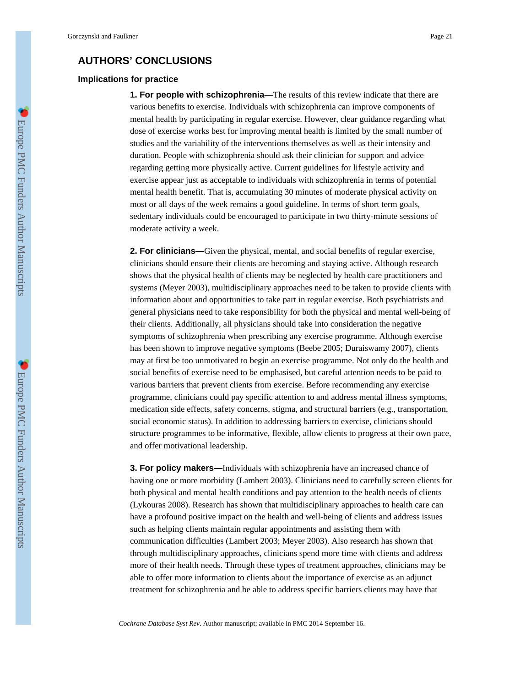### **AUTHORS' CONCLUSIONS**

### **Implications for practice**

**1. For people with schizophrenia—**The results of this review indicate that there are various benefits to exercise. Individuals with schizophrenia can improve components of mental health by participating in regular exercise. However, clear guidance regarding what dose of exercise works best for improving mental health is limited by the small number of studies and the variability of the interventions themselves as well as their intensity and duration. People with schizophrenia should ask their clinician for support and advice regarding getting more physically active. Current guidelines for lifestyle activity and exercise appear just as acceptable to individuals with schizophrenia in terms of potential mental health benefit. That is, accumulating 30 minutes of moderate physical activity on most or all days of the week remains a good guideline. In terms of short term goals, sedentary individuals could be encouraged to participate in two thirty-minute sessions of moderate activity a week.

**2. For clinicians—**Given the physical, mental, and social benefits of regular exercise, clinicians should ensure their clients are becoming and staying active. Although research shows that the physical health of clients may be neglected by health care practitioners and systems (Meyer 2003), multidisciplinary approaches need to be taken to provide clients with information about and opportunities to take part in regular exercise. Both psychiatrists and general physicians need to take responsibility for both the physical and mental well-being of their clients. Additionally, all physicians should take into consideration the negative symptoms of schizophrenia when prescribing any exercise programme. Although exercise has been shown to improve negative symptoms (Beebe 2005; Duraiswamy 2007), clients may at first be too unmotivated to begin an exercise programme. Not only do the health and social benefits of exercise need to be emphasised, but careful attention needs to be paid to various barriers that prevent clients from exercise. Before recommending any exercise programme, clinicians could pay specific attention to and address mental illness symptoms, medication side effects, safety concerns, stigma, and structural barriers (e.g., transportation, social economic status). In addition to addressing barriers to exercise, clinicians should structure programmes to be informative, flexible, allow clients to progress at their own pace, and offer motivational leadership.

**3. For policy makers—**Individuals with schizophrenia have an increased chance of having one or more morbidity (Lambert 2003). Clinicians need to carefully screen clients for both physical and mental health conditions and pay attention to the health needs of clients (Lykouras 2008). Research has shown that multidisciplinary approaches to health care can have a profound positive impact on the health and well-being of clients and address issues such as helping clients maintain regular appointments and assisting them with communication difficulties (Lambert 2003; Meyer 2003). Also research has shown that through multidisciplinary approaches, clinicians spend more time with clients and address more of their health needs. Through these types of treatment approaches, clinicians may be able to offer more information to clients about the importance of exercise as an adjunct treatment for schizophrenia and be able to address specific barriers clients may have that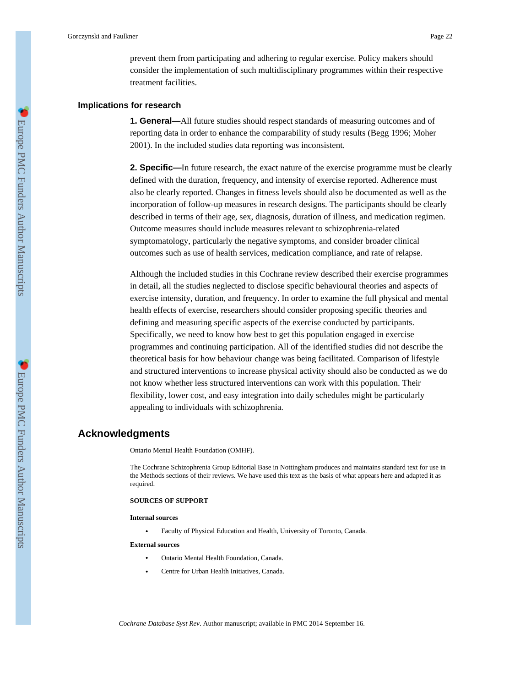prevent them from participating and adhering to regular exercise. Policy makers should consider the implementation of such multidisciplinary programmes within their respective treatment facilities.

### **Implications for research**

**1. General—**All future studies should respect standards of measuring outcomes and of reporting data in order to enhance the comparability of study results (Begg 1996; Moher 2001). In the included studies data reporting was inconsistent.

**2. Specific—**In future research, the exact nature of the exercise programme must be clearly defined with the duration, frequency, and intensity of exercise reported. Adherence must also be clearly reported. Changes in fitness levels should also be documented as well as the incorporation of follow-up measures in research designs. The participants should be clearly described in terms of their age, sex, diagnosis, duration of illness, and medication regimen. Outcome measures should include measures relevant to schizophrenia-related symptomatology, particularly the negative symptoms, and consider broader clinical outcomes such as use of health services, medication compliance, and rate of relapse.

Although the included studies in this Cochrane review described their exercise programmes in detail, all the studies neglected to disclose specific behavioural theories and aspects of exercise intensity, duration, and frequency. In order to examine the full physical and mental health effects of exercise, researchers should consider proposing specific theories and defining and measuring specific aspects of the exercise conducted by participants. Specifically, we need to know how best to get this population engaged in exercise programmes and continuing participation. All of the identified studies did not describe the theoretical basis for how behaviour change was being facilitated. Comparison of lifestyle and structured interventions to increase physical activity should also be conducted as we do not know whether less structured interventions can work with this population. Their flexibility, lower cost, and easy integration into daily schedules might be particularly appealing to individuals with schizophrenia.

### **Acknowledgments**

Ontario Mental Health Foundation (OMHF).

The Cochrane Schizophrenia Group Editorial Base in Nottingham produces and maintains standard text for use in the Methods sections of their reviews. We have used this text as the basis of what appears here and adapted it as required.

#### **SOURCES OF SUPPORT**

#### **Internal sources**

**•** Faculty of Physical Education and Health, University of Toronto, Canada.

#### **External sources**

- **•** Ontario Mental Health Foundation, Canada.
- **•** Centre for Urban Health Initiatives, Canada.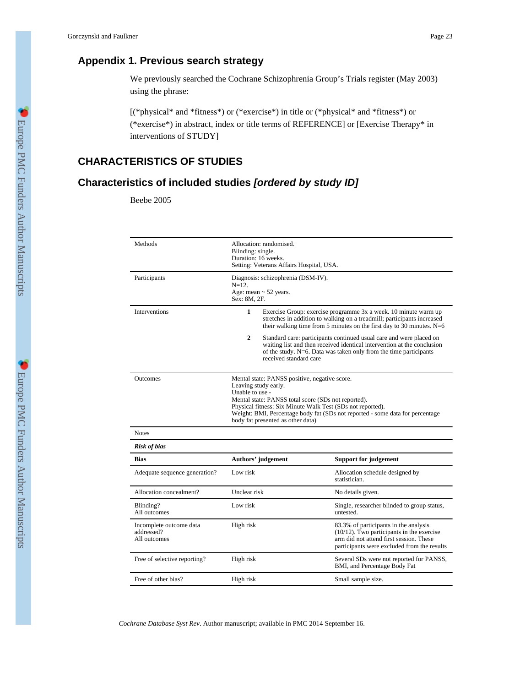## **Appendix 1. Previous search strategy**

We previously searched the Cochrane Schizophrenia Group's Trials register (May 2003) using the phrase:

[(\*physical\* and \*fitness\*) or (\*exercise\*) in title or (\*physical\* and \*fitness\*) or (\*exercise\*) in abstract, index or title terms of REFERENCE] or [Exercise Therapy\* in interventions of STUDY]

## **CHARACTERISTICS OF STUDIES**

## **Characteristics of included studies [ordered by study ID]**

Beebe 2005

| Methods                                               | Allocation: randomised.<br>Blinding: single.<br>Duration: 16 weeks.<br>Setting: Veterans Affairs Hospital, USA.                                                                                                                                                                                                                     |                                                                                                                                                                                                                       |  |
|-------------------------------------------------------|-------------------------------------------------------------------------------------------------------------------------------------------------------------------------------------------------------------------------------------------------------------------------------------------------------------------------------------|-----------------------------------------------------------------------------------------------------------------------------------------------------------------------------------------------------------------------|--|
| Participants                                          | Diagnosis: schizophrenia (DSM-IV).<br>$N=12$ .<br>Age: mean $\sim$ 52 years.<br>Sex: 8M, 2F.                                                                                                                                                                                                                                        |                                                                                                                                                                                                                       |  |
| Interventions                                         | $\mathbf{1}$                                                                                                                                                                                                                                                                                                                        | Exercise Group: exercise programme 3x a week. 10 minute warm up<br>stretches in addition to walking on a treadmill; participants increased<br>their walking time from 5 minutes on the first day to 30 minutes. $N=6$ |  |
|                                                       | $\mathbf{2}$<br>Standard care: participants continued usual care and were placed on<br>waiting list and then received identical intervention at the conclusion<br>of the study. $N=6$ . Data was taken only from the time participants<br>received standard care                                                                    |                                                                                                                                                                                                                       |  |
| Outcomes                                              | Mental state: PANSS positive, negative score.<br>Leaving study early.<br>Unable to use -<br>Mental state: PANSS total score (SDs not reported).<br>Physical fitness: Six Minute Walk Test (SDs not reported).<br>Weight: BMI, Percentage body fat (SDs not reported - some data for percentage<br>body fat presented as other data) |                                                                                                                                                                                                                       |  |
| <b>Notes</b>                                          |                                                                                                                                                                                                                                                                                                                                     |                                                                                                                                                                                                                       |  |
| <b>Risk of bias</b>                                   |                                                                                                                                                                                                                                                                                                                                     |                                                                                                                                                                                                                       |  |
| Bias                                                  | Authors' judgement                                                                                                                                                                                                                                                                                                                  | <b>Support for judgement</b>                                                                                                                                                                                          |  |
| Adequate sequence generation?                         | Low risk                                                                                                                                                                                                                                                                                                                            | Allocation schedule designed by<br>statistician.                                                                                                                                                                      |  |
| Allocation concealment?                               | Unclear risk                                                                                                                                                                                                                                                                                                                        | No details given.                                                                                                                                                                                                     |  |
| Blinding?<br>All outcomes                             | Low risk                                                                                                                                                                                                                                                                                                                            | Single, researcher blinded to group status,<br>untested.                                                                                                                                                              |  |
| Incomplete outcome data<br>addressed?<br>All outcomes | High risk                                                                                                                                                                                                                                                                                                                           | 83.3% of participants in the analysis<br>$(10/12)$ . Two participants in the exercise<br>arm did not attend first session. These<br>participants were excluded from the results                                       |  |
| Free of selective reporting?                          | High risk                                                                                                                                                                                                                                                                                                                           | Several SDs were not reported for PANSS,<br>BMI, and Percentage Body Fat                                                                                                                                              |  |
| Free of other bias?                                   | High risk                                                                                                                                                                                                                                                                                                                           | Small sample size.                                                                                                                                                                                                    |  |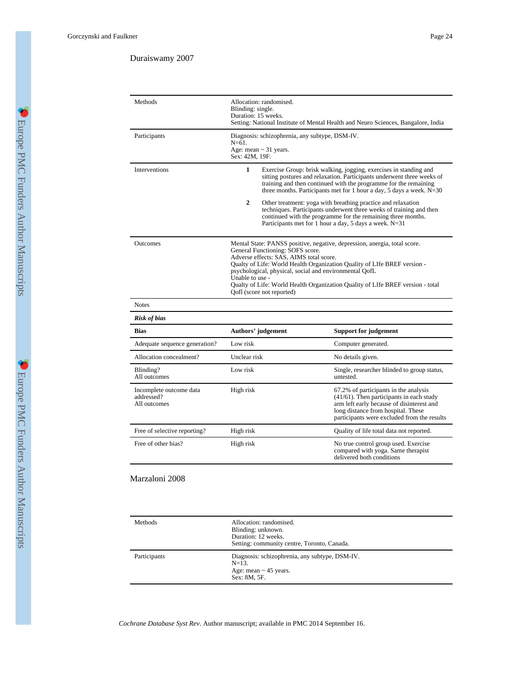### Duraiswamy 2007

| Methods                                               | Allocation: randomised.<br>Blinding: single.<br>Duration: 15 weeks.<br>Setting: National Institute of Mental Health and Neuro Sciences, Bangalore, India                                                                                                                                                                                                                                                                         |                                                                                                                                                                                                                                                                                           |
|-------------------------------------------------------|----------------------------------------------------------------------------------------------------------------------------------------------------------------------------------------------------------------------------------------------------------------------------------------------------------------------------------------------------------------------------------------------------------------------------------|-------------------------------------------------------------------------------------------------------------------------------------------------------------------------------------------------------------------------------------------------------------------------------------------|
| Participants                                          | Diagnosis: schizophrenia, any subtype, DSM-IV.<br>$N = 61.$<br>Age: mean $\sim$ 31 years.<br>Sex: 42M, 19F.                                                                                                                                                                                                                                                                                                                      |                                                                                                                                                                                                                                                                                           |
| Interventions                                         | $\mathbf{1}$                                                                                                                                                                                                                                                                                                                                                                                                                     | Exercise Group: brisk walking, jogging, exercises in standing and<br>sitting postures and relaxation. Participants underwent three weeks of<br>training and then continued with the programme for the remaining<br>three months. Participants met for 1 hour a day, 5 days a week. $N=30$ |
|                                                       | $\mathbf{2}$                                                                                                                                                                                                                                                                                                                                                                                                                     | Other treatment: yoga with breathing practice and relaxation<br>techniques. Participants underwent three weeks of training and then<br>continued with the programme for the remaining three months.<br>Participants met for 1 hour a day, 5 days a week. N=31                             |
| Outcomes                                              | Mental State: PANSS positive, negative, depression, anergia, total score.<br>General Functioning: SOFS score.<br>Adverse effects: SAS, AIMS total score.<br>Qualty of Life: World Health Organization Quality of LIfe BREF version -<br>psychological, physical, social and environmental QofL<br>Unable to use -<br>Qualty of Life: World Health Organization Quality of LIfe BREF version - total<br>Qofl (score not reported) |                                                                                                                                                                                                                                                                                           |
| <b>Notes</b>                                          |                                                                                                                                                                                                                                                                                                                                                                                                                                  |                                                                                                                                                                                                                                                                                           |
| <b>Risk of bias</b>                                   |                                                                                                                                                                                                                                                                                                                                                                                                                                  |                                                                                                                                                                                                                                                                                           |
| <b>Bias</b>                                           | Authors' judgement                                                                                                                                                                                                                                                                                                                                                                                                               | <b>Support for judgement</b>                                                                                                                                                                                                                                                              |
| Adequate sequence generation?                         | Low risk                                                                                                                                                                                                                                                                                                                                                                                                                         | Computer generated.                                                                                                                                                                                                                                                                       |
| Allocation concealment?                               | Unclear risk                                                                                                                                                                                                                                                                                                                                                                                                                     | No details given.                                                                                                                                                                                                                                                                         |
| Blinding?<br>All outcomes                             | Low risk                                                                                                                                                                                                                                                                                                                                                                                                                         | Single, researcher blinded to group status,<br>untested.                                                                                                                                                                                                                                  |
| Incomplete outcome data<br>addressed?<br>All outcomes | High risk                                                                                                                                                                                                                                                                                                                                                                                                                        | 67.2% of participants in the analysis<br>$(41/61)$ . Then participants in each study<br>arm left early because of disinterest and<br>long distance from hospital. These<br>participants were excluded from the results                                                                    |
| Free of selective reporting?                          | High risk                                                                                                                                                                                                                                                                                                                                                                                                                        | Quality of life total data not reported.                                                                                                                                                                                                                                                  |
| Free of other bias?                                   | High risk                                                                                                                                                                                                                                                                                                                                                                                                                        | No true control group used. Exercise<br>compared with yoga. Same therapist<br>delivered both conditions                                                                                                                                                                                   |

### Marzaloni 2008

| Methods      | Allocation: randomised.<br>Blinding: unknown.<br>Duration: 12 weeks.<br>Setting: community centre, Toronto, Canada. |
|--------------|---------------------------------------------------------------------------------------------------------------------|
| Participants | Diagnosis: schizophrenia, any subtype, DSM-IV.<br>$N=13$ .<br>Age: mean $\sim$ 45 years.<br>Sex: 8M, 5F.            |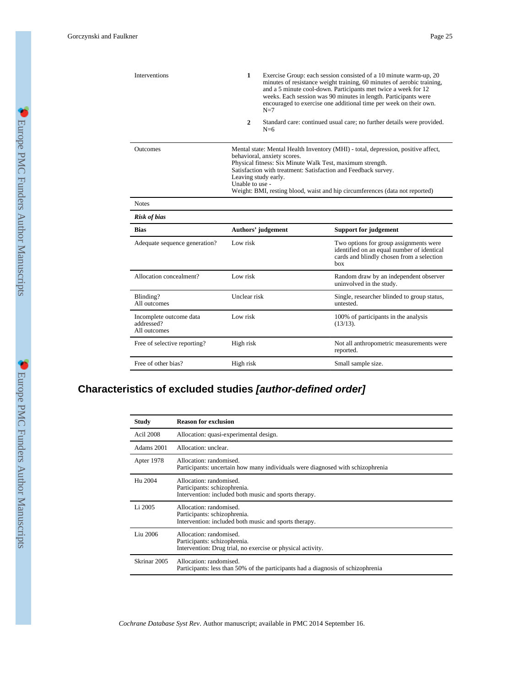| <b>Interventions</b>                                  | $\mathbf{1}$                                                                                                                                                                                                                                                                                                                                                               | $N=7$              | Exercise Group: each session consisted of a 10 minute warm-up, 20<br>minutes of resistance weight training, 60 minutes of aerobic training,<br>and a 5 minute cool-down. Participants met twice a week for 12<br>weeks. Each session was 90 minutes in length. Participants were<br>encouraged to exercise one additional time per week on their own. |
|-------------------------------------------------------|----------------------------------------------------------------------------------------------------------------------------------------------------------------------------------------------------------------------------------------------------------------------------------------------------------------------------------------------------------------------------|--------------------|-------------------------------------------------------------------------------------------------------------------------------------------------------------------------------------------------------------------------------------------------------------------------------------------------------------------------------------------------------|
|                                                       | $\mathbf{2}$                                                                                                                                                                                                                                                                                                                                                               | $N=6$              | Standard care: continued usual care; no further details were provided.                                                                                                                                                                                                                                                                                |
| Outcomes                                              | Mental state: Mental Health Inventory (MHI) - total, depression, positive affect,<br>behavioral, anxiety scores.<br>Physical fitness: Six Minute Walk Test, maximum strength.<br>Satisfaction with treatment: Satisfaction and Feedback survey.<br>Leaving study early.<br>Unable to use -<br>Weight: BMI, resting blood, waist and hip circumferences (data not reported) |                    |                                                                                                                                                                                                                                                                                                                                                       |
| <b>Notes</b>                                          |                                                                                                                                                                                                                                                                                                                                                                            |                    |                                                                                                                                                                                                                                                                                                                                                       |
| <b>Risk of bias</b>                                   |                                                                                                                                                                                                                                                                                                                                                                            |                    |                                                                                                                                                                                                                                                                                                                                                       |
| Bias                                                  |                                                                                                                                                                                                                                                                                                                                                                            | Authors' judgement | <b>Support for judgement</b>                                                                                                                                                                                                                                                                                                                          |
| Adequate sequence generation?                         | Low risk                                                                                                                                                                                                                                                                                                                                                                   |                    | Two options for group assignments were<br>identified on an equal number of identical<br>cards and blindly chosen from a selection<br>box                                                                                                                                                                                                              |
| Allocation concealment?                               | Low risk                                                                                                                                                                                                                                                                                                                                                                   |                    | Random draw by an independent observer<br>uninvolved in the study.                                                                                                                                                                                                                                                                                    |
| Blinding?<br>All outcomes                             | Unclear risk                                                                                                                                                                                                                                                                                                                                                               |                    | Single, researcher blinded to group status,<br>untested.                                                                                                                                                                                                                                                                                              |
| Incomplete outcome data<br>addressed?<br>All outcomes | Low risk                                                                                                                                                                                                                                                                                                                                                                   |                    | 100% of participants in the analysis<br>$(13/13)$ .                                                                                                                                                                                                                                                                                                   |
| Free of selective reporting?                          | High risk                                                                                                                                                                                                                                                                                                                                                                  |                    | Not all anthropometric measurements were<br>reported.                                                                                                                                                                                                                                                                                                 |
| Free of other bias?                                   | High risk                                                                                                                                                                                                                                                                                                                                                                  |                    | Small sample size.                                                                                                                                                                                                                                                                                                                                    |

## **Characteristics of excluded studies [author-defined order]**

| <b>Study</b>     | <b>Reason for exclusion</b>                                                                                            |
|------------------|------------------------------------------------------------------------------------------------------------------------|
| <b>Acil 2008</b> | Allocation: quasi-experimental design.                                                                                 |
| Adams 2001       | Allocation: unclear.                                                                                                   |
| Apter 1978       | Allocation: randomised.<br>Participants: uncertain how many individuals were diagnosed with schizophrenia              |
| Hu 2004          | Allocation: randomised.<br>Participants: schizophrenia.<br>Intervention: included both music and sports therapy.       |
| Li 2005          | Allocation: randomised.<br>Participants: schizophrenia.<br>Intervention: included both music and sports therapy.       |
| Liu 2006         | Allocation: randomised.<br>Participants: schizophrenia.<br>Intervention: Drug trial, no exercise or physical activity. |
| Skrinar 2005     | Allocation: randomised.<br>Participants: less than 50% of the participants had a diagnosis of schizophrenia            |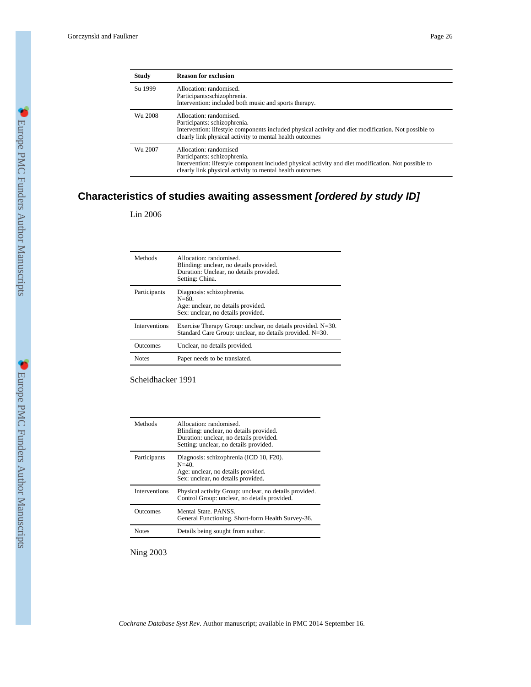| <b>Study</b> | <b>Reason for exclusion</b>                                                                                                                                                                                                 |
|--------------|-----------------------------------------------------------------------------------------------------------------------------------------------------------------------------------------------------------------------------|
| Su 1999      | Allocation: randomised.<br>Participants:schizophrenia.<br>Intervention: included both music and sports therapy.                                                                                                             |
| Wu 2008      | Allocation: randomised.<br>Participants: schizophrenia.<br>Intervention: lifestyle components included physical activity and diet modification. Not possible to<br>clearly link physical activity to mental health outcomes |
| Wu 2007      | Allocation: randomised<br>Participants: schizophrenia.<br>Intervention: lifestyle component included physical activity and diet modification. Not possible to<br>clearly link physical activity to mental health outcomes   |

## **Characteristics of studies awaiting assessment [ordered by study ID]**

Lin 2006

| Methods              | Allocation: randomised.<br>Blinding: unclear, no details provided.<br>Duration: Unclear, no details provided.<br>Setting: China. |
|----------------------|----------------------------------------------------------------------------------------------------------------------------------|
| Participants         | Diagnosis: schizophrenia.<br>$N = 60.$<br>Age: unclear, no details provided.<br>Sex: unclear, no details provided.               |
| <b>Interventions</b> | Exercise Therapy Group: unclear, no details provided. N=30.<br>Standard Care Group: unclear, no details provided. N=30.          |
| Outcomes             | Unclear, no details provided.                                                                                                    |
| <b>Notes</b>         | Paper needs to be translated.                                                                                                    |

Scheidhacker 1991

| Methods              | Allocation: randomised<br>Blinding: unclear, no details provided.<br>Duration: unclear, no details provided.<br>Setting: unclear, no details provided. |
|----------------------|--------------------------------------------------------------------------------------------------------------------------------------------------------|
| Participants         | Diagnosis: schizophrenia (ICD 10, F20).<br>$N = 40$ .<br>Age: unclear, no details provided.<br>Sex: unclear, no details provided.                      |
| <b>Interventions</b> | Physical activity Group: unclear, no details provided.<br>Control Group: unclear, no details provided.                                                 |
| Outcomes             | Mental State PANSS<br>General Functioning. Short-form Health Survey-36.                                                                                |
| <b>Notes</b>         | Details being sought from author.                                                                                                                      |

Ning 2003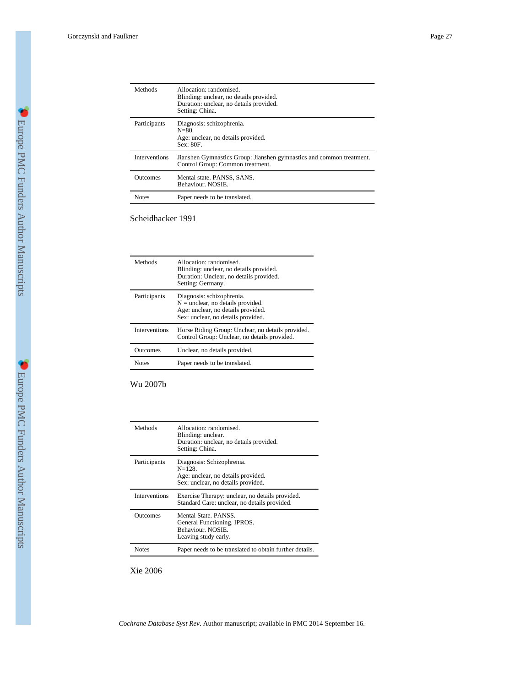| Methods              | Allocation: randomised<br>Blinding: unclear, no details provided.<br>Duration: unclear, no details provided.<br>Setting: China. |
|----------------------|---------------------------------------------------------------------------------------------------------------------------------|
| Participants         | Diagnosis: schizophrenia.<br>$N = 80.$<br>Age: unclear, no details provided.<br>Sex: 80F.                                       |
| <b>Interventions</b> | Jianshen Gymnastics Group: Jianshen gymnastics and common treatment.<br>Control Group: Common treatment.                        |
| <b>Outcomes</b>      | Mental state. PANSS, SANS.<br>Behaviour. NOSIE.                                                                                 |
| <b>Notes</b>         | Paper needs to be translated.                                                                                                   |

Scheidhacker 1991

| Methods              | Allocation: randomised<br>Blinding: unclear, no details provided.<br>Duration: Unclear, no details provided.<br>Setting: Germany.            |
|----------------------|----------------------------------------------------------------------------------------------------------------------------------------------|
| Participants         | Diagnosis: schizophrenia.<br>$N =$ unclear, no details provided.<br>Age: unclear, no details provided.<br>Sex: unclear, no details provided. |
| <b>Interventions</b> | Horse Riding Group: Unclear, no details provided.<br>Control Group: Unclear, no details provided.                                            |
| Outcomes             | Unclear, no details provided.                                                                                                                |
| <b>Notes</b>         | Paper needs to be translated.                                                                                                                |

Wu 2007b

| Methods              | Allocation: randomised<br>Blinding: unclear.<br>Duration: unclear, no details provided.<br>Setting: China.           |
|----------------------|----------------------------------------------------------------------------------------------------------------------|
| Participants         | Diagnosis: Schizophrenia.<br>$N = 128$ .<br>Age: unclear, no details provided.<br>Sex: unclear, no details provided. |
| <b>Interventions</b> | Exercise Therapy: unclear, no details provided.<br>Standard Care: unclear, no details provided.                      |
| Outcomes             | Mental State, PANSS.<br>General Functioning. IPROS.<br>Behaviour. NOSIE.<br>Leaving study early.                     |
| <b>Notes</b>         | Paper needs to be translated to obtain further details.                                                              |

Xie 2006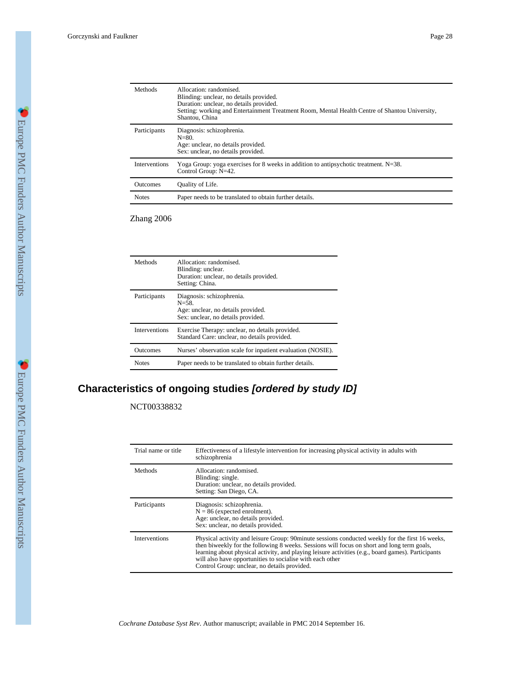| Methods              | Allocation: randomised.<br>Blinding: unclear, no details provided.<br>Duration: unclear, no details provided.<br>Setting: working and Entertainment Treatment Room, Mental Health Centre of Shantou University,<br>Shantou, China |
|----------------------|-----------------------------------------------------------------------------------------------------------------------------------------------------------------------------------------------------------------------------------|
| Participants         | Diagnosis: schizophrenia.<br>$N = 80.$<br>Age: unclear, no details provided.<br>Sex: unclear, no details provided.                                                                                                                |
| <b>Interventions</b> | Yoga Group: yoga exercises for 8 weeks in addition to antipsychotic treatment. N=38.<br>Control Group: N=42.                                                                                                                      |
| <b>Outcomes</b>      | Quality of Life.                                                                                                                                                                                                                  |
| <b>Notes</b>         | Paper needs to be translated to obtain further details.                                                                                                                                                                           |

Zhang 2006

| Methods              | Allocation: randomised.<br>Blinding: unclear.<br>Duration: unclear, no details provided.<br>Setting: China.         |
|----------------------|---------------------------------------------------------------------------------------------------------------------|
| Participants         | Diagnosis: schizophrenia.<br>$N = 58$ .<br>Age: unclear, no details provided.<br>Sex: unclear, no details provided. |
| <b>Interventions</b> | Exercise Therapy: unclear, no details provided.<br>Standard Care: unclear, no details provided.                     |
| <b>Outcomes</b>      | Nurses' observation scale for inpatient evaluation (NOSIE).                                                         |
| <b>Notes</b>         | Paper needs to be translated to obtain further details.                                                             |

## **Characteristics of ongoing studies [ordered by study ID]**

NCT00338832

| Trial name or title  | Effectiveness of a lifestyle intervention for increasing physical activity in adults with<br>schizophrenia                                                                                                                                                                                                                                                                                                       |
|----------------------|------------------------------------------------------------------------------------------------------------------------------------------------------------------------------------------------------------------------------------------------------------------------------------------------------------------------------------------------------------------------------------------------------------------|
| Methods              | Allocation: randomised.<br>Blinding: single.<br>Duration: unclear, no details provided.<br>Setting: San Diego, CA.                                                                                                                                                                                                                                                                                               |
| Participants         | Diagnosis: schizophrenia.<br>$N = 86$ (expected enrolment).<br>Age: unclear, no details provided.<br>Sex: unclear, no details provided.                                                                                                                                                                                                                                                                          |
| <b>Interventions</b> | Physical activity and leisure Group: 90minute sessions conducted weekly for the first 16 weeks,<br>then biweekly for the following 8 weeks. Sessions will focus on short and long term goals,<br>learning about physical activity, and playing leisure activities (e.g., board games). Participants<br>will also have opportunities to socialise with each other<br>Control Group: unclear, no details provided. |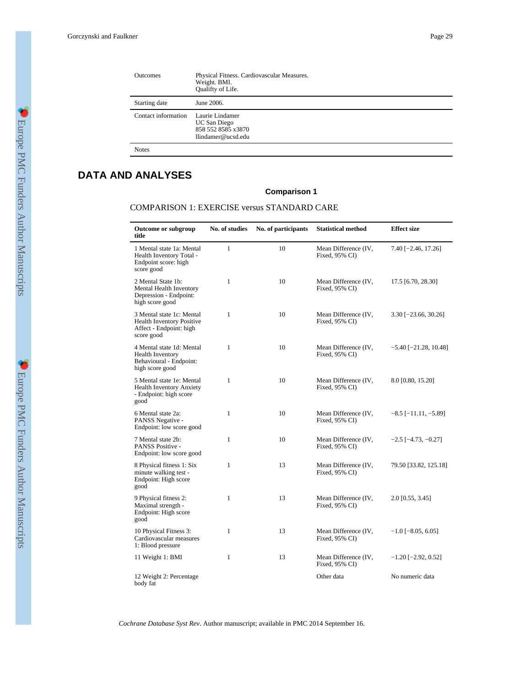| Outcomes            | Physical Fitness. Cardiovascular Measures.<br>Weight. BMI.<br>Qualifty of Life. |
|---------------------|---------------------------------------------------------------------------------|
| Starting date       | June 2006.                                                                      |
| Contact information | Laurie Lindamer<br>UC San Diego<br>858 552 8585 x3870<br>llindamer@ucsd.edu     |
| <b>Notes</b>        |                                                                                 |

## **DATA AND ANALYSES**

### **Comparison 1**

### COMPARISON 1: EXERCISE versus STANDARD CARE

| Outcome or subgroup<br>title                                                                           | No. of studies | No. of participants | <b>Statistical method</b>              | <b>Effect size</b>          |
|--------------------------------------------------------------------------------------------------------|----------------|---------------------|----------------------------------------|-----------------------------|
| 1 Mental state 1a: Mental<br>Health Inventory Total -<br>Endpoint score: high<br>score good            | $\mathbf{1}$   | 10                  | Mean Difference (IV,<br>Fixed, 95% CI) | 7.40 [-2.46, 17.26]         |
| 2 Mental State 1b:<br>Mental Health Inventory<br>Depression - Endpoint:<br>high score good             | 1              | 10                  | Mean Difference (IV,<br>Fixed, 95% CI) | 17.5 [6.70, 28.30]          |
| 3 Mental state 1c: Mental<br><b>Health Inventory Positive</b><br>Affect - Endpoint: high<br>score good | 1              | 10                  | Mean Difference (IV,<br>Fixed, 95% CI) | $3.30$ [-23.66, 30.26]      |
| 4 Mental state 1d: Mental<br><b>Health Inventory</b><br>Behavioural - Endpoint:<br>high score good     | 1              | 10                  | Mean Difference (IV,<br>Fixed, 95% CI) | $-5.40$ [ $-21.28$ , 10.48] |
| 5 Mental state 1e: Mental<br><b>Health Inventory Anxiety</b><br>- Endpoint: high score<br>good         | $\mathbf{1}$   | 10                  | Mean Difference (IV,<br>Fixed, 95% CI) | 8.0 [0.80, 15.20]           |
| 6 Mental state 2a:<br>PANSS Negative -<br>Endpoint: low score good                                     | 1              | 10                  | Mean Difference (IV,<br>Fixed, 95% CI) | $-8.5$ [ $-11.11, -5.89$ ]  |
| 7 Mental state 2b:<br>PANSS Positive -<br>Endpoint: low score good                                     | 1              | 10                  | Mean Difference (IV,<br>Fixed, 95% CI) | $-2.5$ [ $-4.73, -0.27$ ]   |
| 8 Physical fitness 1: Six<br>minute walking test -<br>Endpoint: High score<br>good                     | $\mathbf{1}$   | 13                  | Mean Difference (IV,<br>Fixed, 95% CI) | 79.50 [33.82, 125.18]       |
| 9 Physical fitness 2:<br>Maximal strength -<br>Endpoint: High score<br>good                            | 1              | 13                  | Mean Difference (IV,<br>Fixed, 95% CI) | 2.0 [0.55, 3.45]            |
| 10 Physical Fitness 3:<br>Cardiovascular measures<br>1: Blood pressure                                 | 1              | 13                  | Mean Difference (IV,<br>Fixed, 95% CI) | $-1.0$ [ $-8.05, 6.05$ ]    |
| 11 Weight 1: BMI                                                                                       | 1              | 13                  | Mean Difference (IV,<br>Fixed, 95% CI) | $-1.20$ [ $-2.92$ , 0.52]   |
| 12 Weight 2: Percentage<br>body fat                                                                    |                |                     | Other data                             | No numeric data             |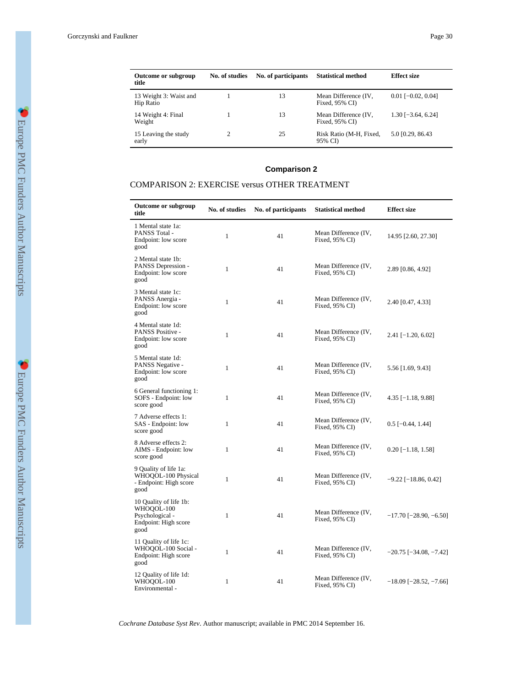| <b>Outcome or subgroup</b><br>title | No. of studies | No. of participants | <b>Statistical method</b>              | <b>Effect size</b>   |
|-------------------------------------|----------------|---------------------|----------------------------------------|----------------------|
| 13 Weight 3: Waist and<br>Hip Ratio |                | 13                  | Mean Difference (IV,<br>Fixed, 95% CI) | $0.01$ [-0.02, 0.04] |
| 14 Weight 4: Final<br>Weight        |                | 13                  | Mean Difference (IV,<br>Fixed, 95% CI) | $1.30$ [-3.64, 6.24] |
| 15 Leaving the study<br>early       | 25             |                     | Risk Ratio (M-H, Fixed,<br>95% CD      | 5.0 [0.29, 86.43]    |

## **Comparison 2**

### COMPARISON 2: EXERCISE versus OTHER TREATMENT

| <b>Outcome or subgroup</b><br>title                                                     | No. of studies | No. of participants | <b>Statistical method</b>              | <b>Effect size</b>              |
|-----------------------------------------------------------------------------------------|----------------|---------------------|----------------------------------------|---------------------------------|
| 1 Mental state 1a:<br>PANSS Total -<br>Endpoint: low score<br>good                      | $\mathbf{1}$   | 41                  | Mean Difference (IV,<br>Fixed, 95% CI) | 14.95 [2.60, 27.30]             |
| 2 Mental state 1b:<br>PANSS Depression -<br>Endpoint: low score<br>good                 | 1              | 41                  | Mean Difference (IV,<br>Fixed, 95% CI) | 2.89 [0.86, 4.92]               |
| 3 Mental state 1c:<br>PANSS Anergia -<br>Endpoint: low score<br>good                    | $\mathbf{1}$   | 41                  | Mean Difference (IV,<br>Fixed, 95% CI) | 2.40 [0.47, 4.33]               |
| 4 Mental state 1d:<br>PANSS Positive -<br>Endpoint: low score<br>good                   | $\mathbf{1}$   | 41                  | Mean Difference (IV,<br>Fixed, 95% CI) | $2.41$ [-1.20, 6.02]            |
| 5 Mental state 1d:<br>PANSS Negative -<br>Endpoint: low score<br>good                   | $\mathbf{1}$   | 41                  | Mean Difference (IV,<br>Fixed, 95% CI) | 5.56 [1.69, 9.43]               |
| 6 General functioning 1:<br>SOFS - Endpoint: low<br>score good                          | 1              | 41                  | Mean Difference (IV,<br>Fixed, 95% CI) | $4.35$ [-1.18, 9.88]            |
| 7 Adverse effects 1:<br>SAS - Endpoint: low<br>score good                               | 1              | 41                  | Mean Difference (IV,<br>Fixed, 95% CI) | $0.5$ [-0.44, 1.44]             |
| 8 Adverse effects 2:<br>AIMS - Endpoint: low<br>score good                              | 1              | 41                  | Mean Difference (IV,<br>Fixed, 95% CI) | $0.20$ [-1.18, 1.58]            |
| 9 Quality of life 1a:<br>WHOQOL-100 Physical<br>- Endpoint: High score<br>good          | $\mathbf{1}$   | 41                  | Mean Difference (IV,<br>Fixed, 95% CI) | $-9.22$ [ $-18.86, 0.42$ ]      |
| 10 Quality of life 1b:<br>WHOQOL-100<br>Psychological -<br>Endpoint: High score<br>good | 1              | 41                  | Mean Difference (IV,<br>Fixed, 95% CI) | $-17.70$ [ $-28.90, -6.50$ ]    |
| 11 Quality of life 1c:<br>WHOQOL-100 Social -<br>Endpoint: High score<br>good           | $\mathbf{1}$   | 41                  | Mean Difference (IV,<br>Fixed, 95% CI) | $-20.75$ [ $-34.08$ , $-7.42$ ] |
| 12 Quality of life 1d:<br>WHOQOL-100<br>Environmental -                                 | 1              | 41                  | Mean Difference (IV,<br>Fixed, 95% CI) | $-18.09$ [ $-28.52, -7.66$ ]    |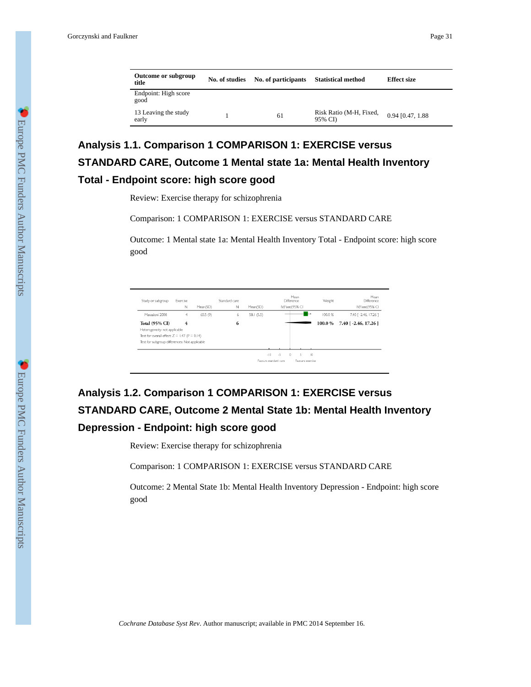|--|

| Outcome or subgroup<br>title  | No. of studies | No. of participants | <b>Statistical method</b>         | <b>Effect size</b> |  |
|-------------------------------|----------------|---------------------|-----------------------------------|--------------------|--|
| Endpoint: High score<br>good  |                |                     |                                   |                    |  |
| 13 Leaving the study<br>early |                | 61                  | Risk Ratio (M-H, Fixed,<br>95% CD | 0.94 [0.47, 1.88]  |  |

# **Analysis 1.1. Comparison 1 COMPARISON 1: EXERCISE versus STANDARD CARE, Outcome 1 Mental state 1a: Mental Health Inventory Total - Endpoint score: high score good**

Review: Exercise therapy for schizophrenia

Comparison: 1 COMPARISON 1: EXERCISE versus STANDARD CARE

Outcome: 1 Mental state 1a: Mental Health Inventory Total - Endpoint score: high score good

| Study or subgroup                                  | Exercise<br>N | Mean(SD) | Standard care<br>Ν | Mean(SD)   | Difference<br>IV.Fixed,95% CI | Mean             | Weight | Mean<br>Difference<br>IV.Fixed, 95% CI |
|----------------------------------------------------|---------------|----------|--------------------|------------|-------------------------------|------------------|--------|----------------------------------------|
| Marzaloni 2008                                     | 4             | 65.5 (9) | 6                  | 58.1 (5.5) |                               |                  | 100.0% | 7.40 [ -2.46, 17.26 ]                  |
| <b>Total (95% CI)</b>                              | 4             |          | 6                  |            |                               |                  | 100.0% | 7.40 [ -2.46, 17.26 ]                  |
| Heterogeneity: not applicable                      |               |          |                    |            |                               |                  |        |                                        |
| Test for overall effect: $Z = 1.47$ ( $P = 0.14$ ) |               |          |                    |            |                               |                  |        |                                        |
| Test for subgroup differences: Not applicable      |               |          |                    |            |                               |                  |        |                                        |
|                                                    |               |          |                    |            |                               |                  |        |                                        |
|                                                    |               |          |                    |            | $-10$<br>$-5$<br>$\Omega$     | 10<br>5          |        |                                        |
|                                                    |               |          |                    |            | Favours standard care         | Favours exercise |        |                                        |

# **Analysis 1.2. Comparison 1 COMPARISON 1: EXERCISE versus STANDARD CARE, Outcome 2 Mental State 1b: Mental Health Inventory Depression - Endpoint: high score good**

Review: Exercise therapy for schizophrenia

Comparison: 1 COMPARISON 1: EXERCISE versus STANDARD CARE

Outcome: 2 Mental State 1b: Mental Health Inventory Depression - Endpoint: high score good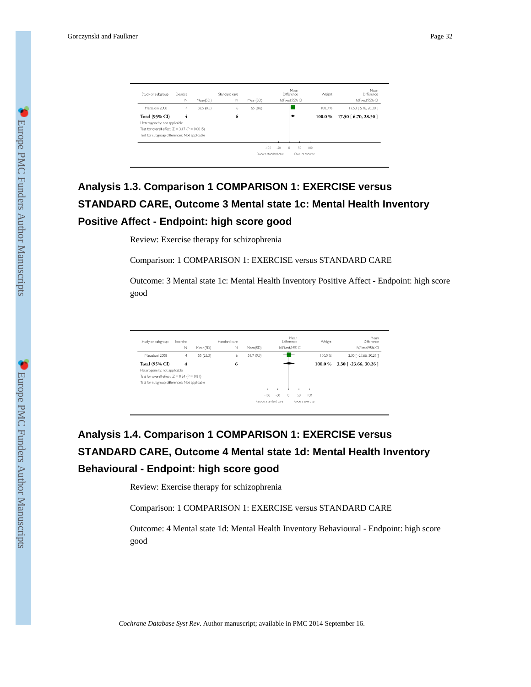| Study or subgroup                                | Exercise<br>Ν | Mean(SD)   | Standard care<br>N | Mean(SD) |                       | Mean<br>Difference<br>IV.Fixed.95% CI  | Weight                  | Mean<br>Difference<br>IV.Fixed, 95% CI |
|--------------------------------------------------|---------------|------------|--------------------|----------|-----------------------|----------------------------------------|-------------------------|----------------------------------------|
| Marzaloni 2008                                   | 4             | 82.5 (8.5) | 6                  | 65 (8.6) |                       |                                        | 100.0%                  | 17.50 [ 6.70, 28.30 ]                  |
| <b>Total (95% CI)</b>                            | 4             |            | 6                  |          |                       |                                        | 100.0%                  | 17.50 [ 6.70, 28.30 ]                  |
| Heterogeneity: not applicable                    |               |            |                    |          |                       |                                        |                         |                                        |
| Test for overall effect: $Z = 3.17$ (P = 0.0015) |               |            |                    |          |                       |                                        |                         |                                        |
| Test for subgroup differences: Not applicable    |               |            |                    |          |                       |                                        |                         |                                        |
|                                                  |               |            |                    |          |                       |                                        |                         |                                        |
|                                                  |               |            |                    |          | $-50$<br>$-100$       | $\begin{array}{c} 0 \end{array}$<br>50 | $100 -$                 |                                        |
|                                                  |               |            |                    |          | Favours standard care |                                        | <b>Eavours exercise</b> |                                        |
|                                                  |               |            |                    |          |                       |                                        |                         |                                        |

# **Analysis 1.3. Comparison 1 COMPARISON 1: EXERCISE versus STANDARD CARE, Outcome 3 Mental state 1c: Mental Health Inventory Positive Affect - Endpoint: high score good**

Review: Exercise therapy for schizophrenia

Comparison: 1 COMPARISON 1: EXERCISE versus STANDARD CARE

Outcome: 3 Mental state 1c: Mental Health Inventory Positive Affect - Endpoint: high score good

| Study or subgroup                                  | Exercise |          | Standard care |            |                       | Mean<br>Difference | Weight | Mean<br>Difference       |
|----------------------------------------------------|----------|----------|---------------|------------|-----------------------|--------------------|--------|--------------------------|
|                                                    | Ν        | Mean(SD) | $\mathbb N$   | Mean(SD)   |                       | IV, Fixed, 95% CI  |        | IV.Fixed, 95% CI         |
| Marzaloni 2008                                     | 4        | 55(26.3) | 6             | 51.7 (9.9) |                       |                    | 100.0% | 3.30 [ -23.66, 30.26 ]   |
| <b>Total (95% CI)</b>                              | 4        |          | 6             |            |                       |                    | 100.0% | $3.30$ [ -23.66, 30.26 ] |
| Heterogeneity: not applicable                      |          |          |               |            |                       |                    |        |                          |
| Test for overall effect: $Z = 0.24$ ( $P = 0.81$ ) |          |          |               |            |                       |                    |        |                          |
| Test for subgroup differences: Not applicable      |          |          |               |            |                       |                    |        |                          |
|                                                    |          |          |               |            |                       |                    |        |                          |
|                                                    |          |          |               |            | $-100$<br>$-50$       | $\Omega$<br>50     | 100    |                          |
|                                                    |          |          |               |            | Eavours standard care | Favours exercise   |        |                          |

# **Analysis 1.4. Comparison 1 COMPARISON 1: EXERCISE versus STANDARD CARE, Outcome 4 Mental state 1d: Mental Health Inventory Behavioural - Endpoint: high score good**

Review: Exercise therapy for schizophrenia

Comparison: 1 COMPARISON 1: EXERCISE versus STANDARD CARE

Outcome: 4 Mental state 1d: Mental Health Inventory Behavioural - Endpoint: high score good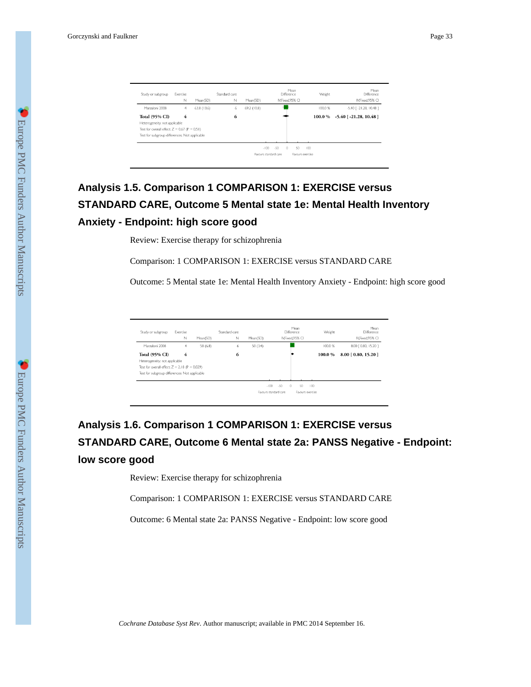| Study or subgroup                                  | Exercise<br>N | Mean(SD)   | Standard care<br>N | Mean(SD)    |                       | Mean<br>Difference<br>IV.Fixed.95% CI | Weight           | Mean<br>Difference<br>IV.Fixed.95% CI |
|----------------------------------------------------|---------------|------------|--------------------|-------------|-----------------------|---------------------------------------|------------------|---------------------------------------|
| Marzaloni 2008                                     | 4             | 63.8(13.6) | 6                  | 69.2 (10.8) |                       |                                       | 100.0%           | $-5.40$ [ $-21.28$ , $10.48$ ]        |
| <b>Total (95% CI)</b>                              | 4             |            | 6                  |             |                       |                                       | 100.0%           | $-5.40$ [ $-21.28$ , 10.48 ]          |
| Heterogeneity: not applicable                      |               |            |                    |             |                       |                                       |                  |                                       |
| Test for overall effect: $Z = 0.67$ ( $P = 0.51$ ) |               |            |                    |             |                       |                                       |                  |                                       |
| Test for subgroup differences: Not applicable      |               |            |                    |             |                       |                                       |                  |                                       |
|                                                    |               |            |                    |             |                       |                                       |                  |                                       |
|                                                    |               |            |                    |             | $-100$<br>$-50$       | SD.<br>$\Omega$                       | 100              |                                       |
|                                                    |               |            |                    |             | Favours standard care |                                       | Favours exercise |                                       |
|                                                    |               |            |                    |             |                       |                                       |                  |                                       |

# **Analysis 1.5. Comparison 1 COMPARISON 1: EXERCISE versus STANDARD CARE, Outcome 5 Mental state 1e: Mental Health Inventory Anxiety - Endpoint: high score good**

Review: Exercise therapy for schizophrenia

Comparison: 1 COMPARISON 1: EXERCISE versus STANDARD CARE

Outcome: 5 Mental state 1e: Mental Health Inventory Anxiety - Endpoint: high score good

| Study or subgroup                                   | Exercise<br>N | Mean(SD) | Standard care<br>Ν | Mean(SD) | Mean<br><b>Difference</b><br>IV.Fixed.95% CI |                  | Weight | Mean<br><b>Difference</b><br>IV.Fixed.95% CI |
|-----------------------------------------------------|---------------|----------|--------------------|----------|----------------------------------------------|------------------|--------|----------------------------------------------|
| Marzaloni 2008                                      | 4             | 58 (6.8) | 6                  | 50 (3.4) |                                              |                  | 100.0% | 8.00 [ 0.80, 15.20 ]                         |
| <b>Total (95% CI)</b>                               | 4             |          | 6                  |          |                                              |                  | 100.0% | 8.00 [0.80, 15.20]                           |
| Heterogeneity: not applicable                       |               |          |                    |          |                                              |                  |        |                                              |
| Test for overall effect: $Z = 2.18$ ( $P = 0.029$ ) |               |          |                    |          |                                              |                  |        |                                              |
| Test for subgroup differences: Not applicable       |               |          |                    |          |                                              |                  |        |                                              |
|                                                     |               |          |                    |          |                                              |                  |        |                                              |
|                                                     |               |          |                    |          | $-50$<br>$-100$<br>$\Omega$                  | 50<br>$100 -$    |        |                                              |
|                                                     |               |          |                    |          | Favours standard care.                       | Fayours exercise |        |                                              |

# **Analysis 1.6. Comparison 1 COMPARISON 1: EXERCISE versus STANDARD CARE, Outcome 6 Mental state 2a: PANSS Negative - Endpoint: low score good**

Review: Exercise therapy for schizophrenia

Comparison: 1 COMPARISON 1: EXERCISE versus STANDARD CARE

Outcome: 6 Mental state 2a: PANSS Negative - Endpoint: low score good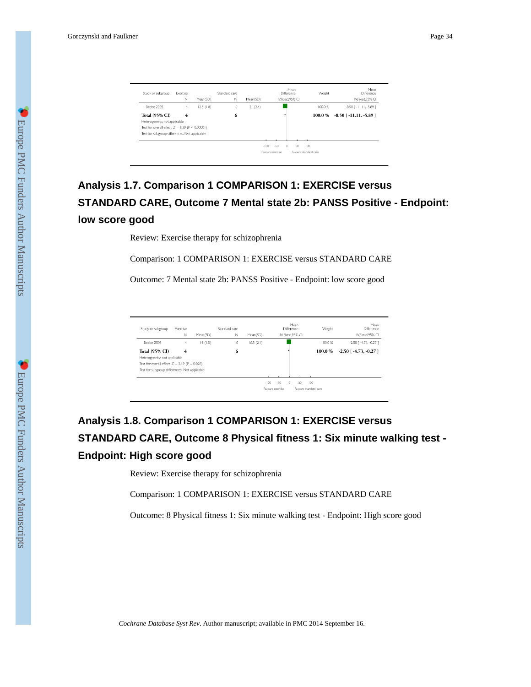| Study or subgroup                                     | Exercise<br>Ν | Mean(SD)  | Standard care<br>Ν | Mean(SD) |        |                  | Difference | Mean<br>IV.Fixed, 95% CI |     | Weight | Mean<br>Difference<br>IV.Fixed, 95% CI |
|-------------------------------------------------------|---------------|-----------|--------------------|----------|--------|------------------|------------|--------------------------|-----|--------|----------------------------------------|
| Beebe 2005                                            | 4             | 12.5(1.8) | 6                  | 21(2.4)  |        |                  |            |                          |     | 100.0% | $-8.50$ [ $-11.11, -5.89$ ]            |
| <b>Total (95% CI)</b>                                 | 4             |           | 6                  |          |        |                  |            |                          |     | 100.0% | $-8.50$ [ $-11.11, -5.89$ ]            |
| Heterogeneity: not applicable                         |               |           |                    |          |        |                  |            |                          |     |        |                                        |
| Test for overall effect: $Z = 6.39$ ( $P < 0.00001$ ) |               |           |                    |          |        |                  |            |                          |     |        |                                        |
| Test for subgroup differences: Not applicable         |               |           |                    |          |        |                  |            |                          |     |        |                                        |
|                                                       |               |           |                    |          |        |                  |            |                          |     |        |                                        |
|                                                       |               |           |                    |          | $-100$ | $-50$            | $\Omega$   | 50                       | 100 |        |                                        |
|                                                       |               |           |                    |          |        | Fayours exercise |            | Favours standard care    |     |        |                                        |
|                                                       |               |           |                    |          |        |                  |            |                          |     |        |                                        |

# **Analysis 1.7. Comparison 1 COMPARISON 1: EXERCISE versus STANDARD CARE, Outcome 7 Mental state 2b: PANSS Positive - Endpoint: low score good**

Review: Exercise therapy for schizophrenia

Comparison: 1 COMPARISON 1: EXERCISE versus STANDARD CARE

Outcome: 7 Mental state 2b: PANSS Positive - Endpoint: low score good

| Study or subgroup                                   | Exercise |          | Standard care |           | Difference                  | Mean                  | Weight | Mean<br>Difference            |
|-----------------------------------------------------|----------|----------|---------------|-----------|-----------------------------|-----------------------|--------|-------------------------------|
|                                                     | Ν        | Mean(SD) | N             | Mean(SD)  | IV.Fixed,95% CI             |                       |        | IV,Fixed,95% CI               |
| Beebe 2005                                          | 4        | 14(1.5)  | 6             | 16.5(2.1) |                             |                       | 100.0% | $-2.50$ [ $-4.73$ , $-0.27$ ] |
| <b>Total (95% CI)</b>                               | 4        |          | 6             |           |                             |                       | 100.0% | $-2.50$ [ $-4.73$ , $-0.27$ ] |
| Heterogeneity: not applicable                       |          |          |               |           |                             |                       |        |                               |
| Test for overall effect: $Z = 2.19$ ( $P = 0.028$ ) |          |          |               |           |                             |                       |        |                               |
| Test for subgroup differences: Not applicable       |          |          |               |           |                             |                       |        |                               |
|                                                     |          |          |               |           |                             |                       |        |                               |
|                                                     |          |          |               |           | $-50$<br>$-100$<br>$\Omega$ | 50                    | 100    |                               |
|                                                     |          |          |               |           | <b>Eavours exercise</b>     | Eavours standard care |        |                               |

# **Analysis 1.8. Comparison 1 COMPARISON 1: EXERCISE versus STANDARD CARE, Outcome 8 Physical fitness 1: Six minute walking test - Endpoint: High score good**

Review: Exercise therapy for schizophrenia

Comparison: 1 COMPARISON 1: EXERCISE versus STANDARD CARE

Outcome: 8 Physical fitness 1: Six minute walking test - Endpoint: High score good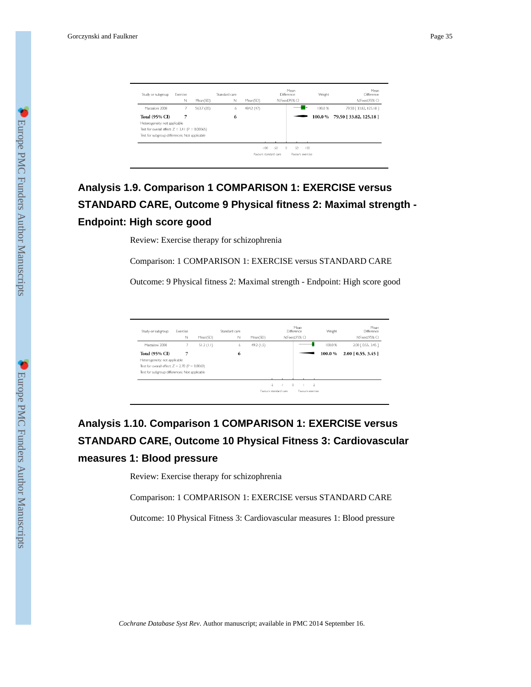| Study or subgroup                                     | Exercise<br>N | Mean(SD)   | Standard care<br>N | Mean(SD)   |                                 | Mean<br>Difference<br>IV.Fixed.95% CI | Weight  | Mean<br>Difference<br>IV.Fixed.95% CI |
|-------------------------------------------------------|---------------|------------|--------------------|------------|---------------------------------|---------------------------------------|---------|---------------------------------------|
| Marzaloni 2008                                        |               | 563.7 (35) | 6                  | 484.2 (47) |                                 |                                       | 100.0%  | 79.50 [ 33.82, 125.18 ]               |
| <b>Total (95% CI)</b>                                 |               |            | 6                  |            |                                 |                                       | 100.0 % | 79.50 [33.82, 125.18]                 |
| Heterogeneity: not applicable                         |               |            |                    |            |                                 |                                       |         |                                       |
| Test for overall effect: $Z = 3.41$ ( $P = 0.00065$ ) |               |            |                    |            |                                 |                                       |         |                                       |
| Test for subgroup differences: Not applicable         |               |            |                    |            |                                 |                                       |         |                                       |
|                                                       |               |            |                    |            |                                 |                                       |         |                                       |
|                                                       |               |            |                    |            | $-100$<br>$-50$<br>$\mathbb{D}$ | 50<br>100                             |         |                                       |
|                                                       |               |            |                    |            | Favours standard care           | Favours exercise                      |         |                                       |
|                                                       |               |            |                    |            |                                 |                                       |         |                                       |

# **Analysis 1.9. Comparison 1 COMPARISON 1: EXERCISE versus STANDARD CARE, Outcome 9 Physical fitness 2: Maximal strength - Endpoint: High score good**

Review: Exercise therapy for schizophrenia

Comparison: 1 COMPARISON 1: EXERCISE versus STANDARD CARE

Outcome: 9 Physical fitness 2: Maximal strength - Endpoint: High score good

| Study or subgroup                                    | Exercise<br>Ν | Mean(SD)  | Standard care<br>$\mathbb N$ | Mean(SD)   |                | Mean<br>Difference<br>IV.Fixed.95% CI | Weight | Mean<br>Difference<br>IV.Fixed, 95% CI |
|------------------------------------------------------|---------------|-----------|------------------------------|------------|----------------|---------------------------------------|--------|----------------------------------------|
| Marzaloni 2008                                       | 7             | 51.2(1.1) | 6                            | 49.2 (1.5) |                |                                       | 100.0% | 2.00 [ 0.55, 3.45 ]                    |
| <b>Total (95% CI)</b>                                | 7             |           | 6                            |            |                |                                       | 100.0% | $2.00$ [ 0.55, 3.45 ]                  |
| Heterogeneity: not applicable                        |               |           |                              |            |                |                                       |        |                                        |
| Test for overall effect: $Z = 2.70$ ( $P = 0.0069$ ) |               |           |                              |            |                |                                       |        |                                        |
| Test for subgroup differences: Not applicable        |               |           |                              |            |                |                                       |        |                                        |
|                                                      |               |           |                              |            | $-2$<br>$\sim$ | $\Omega$<br>$\overline{2}$            |        |                                        |

## **Analysis 1.10. Comparison 1 COMPARISON 1: EXERCISE versus STANDARD CARE, Outcome 10 Physical Fitness 3: Cardiovascular measures 1: Blood pressure**

Review: Exercise therapy for schizophrenia

Comparison: 1 COMPARISON 1: EXERCISE versus STANDARD CARE

Outcome: 10 Physical Fitness 3: Cardiovascular measures 1: Blood pressure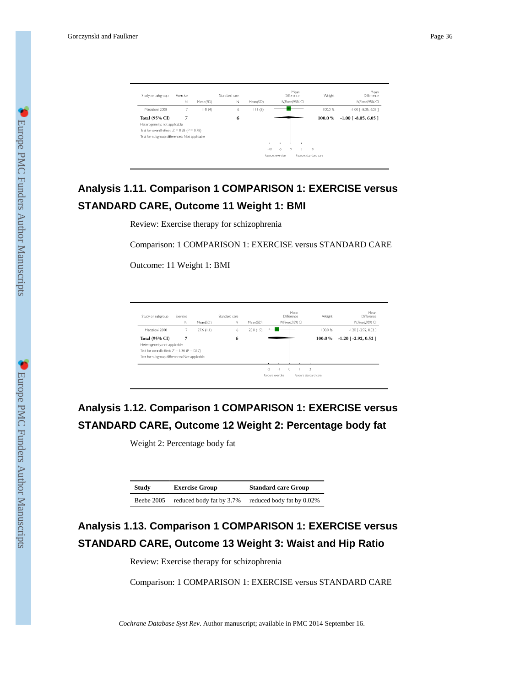| Study or subgroup                                  | Exercise |          | Standard care |          | Mean<br><b>Difference</b> |    | Weight                | Mean<br><b>Difference</b> |
|----------------------------------------------------|----------|----------|---------------|----------|---------------------------|----|-----------------------|---------------------------|
|                                                    | Ν        | Mean(SD) | N             | Mean(SD) | IV.Fixed.95% CI           |    |                       | IV.Fixed, 95% CI          |
| Marzaloni 2008                                     | 7        | 110(4)   | 6             | 111(8)   |                           |    | 100.0%                | $-1.00$ $[-8.05, 6.05]$   |
| <b>Total (95% CI)</b>                              | 7        |          | 6             |          |                           |    | 100.0%                | $-1.00$ [ $-8.05, 6.05$ ] |
| Heterogeneity: not applicable                      |          |          |               |          |                           |    |                       |                           |
| Test for overall effect: $Z = 0.28$ ( $P = 0.78$ ) |          |          |               |          |                           |    |                       |                           |
| Test for subgroup differences: Not applicable      |          |          |               |          |                           |    |                       |                           |
|                                                    |          |          |               |          |                           |    |                       |                           |
|                                                    |          |          |               | $-10$    | $-5$<br>$\Omega$          | 5. | $\overline{0}$        |                           |
|                                                    |          |          |               |          | Favours exercise          |    | Favours standard care |                           |

## **Analysis 1.11. Comparison 1 COMPARISON 1: EXERCISE versus STANDARD CARE, Outcome 11 Weight 1: BMI**

Review: Exercise therapy for schizophrenia

Comparison: 1 COMPARISON 1: EXERCISE versus STANDARD CARE

Outcome: 11 Weight 1: BMI

| Study or subgroup                                  | Exercise |              | Standard care |            |                       | Mean<br><b>Difference</b> | Weight                | Mean<br><b>Difference</b>  |
|----------------------------------------------------|----------|--------------|---------------|------------|-----------------------|---------------------------|-----------------------|----------------------------|
|                                                    | N        | Mean(SD)     | N             | Mean(SD)   |                       | IV.Fixed.95% CI           |                       | IV.Fixed.95% CI            |
| Marzaloni 2008                                     |          | $27.6$ (1.1) | 6             | 28.8 (1.9) |                       |                           | 100.0 %               | $-1.20$ [ $-2.92$ , 0.52 ] |
| <b>Total (95% CI)</b>                              | 7        |              | 6             |            |                       |                           | 100.0%                | $-1.20$ [ $-2.92, 0.52$ ]  |
| Heterogeneity: not applicable                      |          |              |               |            |                       |                           |                       |                            |
| Test for overall effect: $Z = 1.36$ ( $P = 0.17$ ) |          |              |               |            |                       |                           |                       |                            |
| Test for subgroup differences: Not applicable      |          |              |               |            |                       |                           |                       |                            |
|                                                    |          |              |               |            |                       |                           |                       |                            |
|                                                    |          |              |               |            | $\cdot$ 2<br>$\sim$ 1 | $\circ$                   | $\overline{2}$        |                            |
|                                                    |          |              |               |            | Favours exercise      |                           | Favours standard care |                            |

## **Analysis 1.12. Comparison 1 COMPARISON 1: EXERCISE versus STANDARD CARE, Outcome 12 Weight 2: Percentage body fat**

Weight 2: Percentage body fat

| Study      | <b>Exercise Group</b>    | <b>Standard care Group</b> |
|------------|--------------------------|----------------------------|
| Beebe 2005 | reduced body fat by 3.7% | reduced body fat by 0.02%  |

# **Analysis 1.13. Comparison 1 COMPARISON 1: EXERCISE versus STANDARD CARE, Outcome 13 Weight 3: Waist and Hip Ratio**

Review: Exercise therapy for schizophrenia

Comparison: 1 COMPARISON 1: EXERCISE versus STANDARD CARE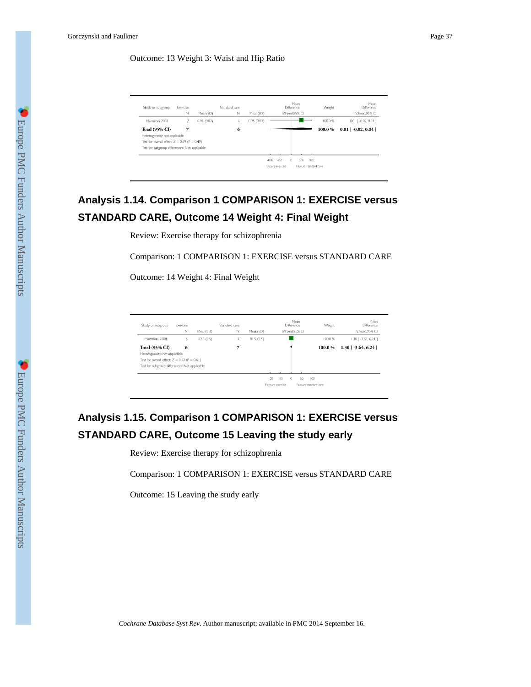### Outcome: 13 Weight 3: Waist and Hip Ratio

| Study or subgroup                                  | Exercise<br>N | Mean(SD)   | Standard care<br>N | Mean(SD)   |                                        | Mean<br><b>Difference</b><br>IV.Fixed.95% CI | Weight  | Mean<br><b>Difference</b><br>IV.Fixed.95% CI |
|----------------------------------------------------|---------------|------------|--------------------|------------|----------------------------------------|----------------------------------------------|---------|----------------------------------------------|
| Marzaloni 2008                                     |               | 0.96(0.02) | 6.                 | 0.95(0.03) |                                        |                                              | 100.0 % | $0.01$ $[-0.02, 0.04]$                       |
| <b>Total (95% CI)</b>                              | 7             |            | 6                  |            |                                        |                                              | 100.0%  | $0.01$ [ $-0.02$ , $0.04$ ]                  |
| Heterogeneity: not applicable                      |               |            |                    |            |                                        |                                              |         |                                              |
| Test for overall effect: $Z = 0.69$ ( $P = 0.49$ ) |               |            |                    |            |                                        |                                              |         |                                              |
| Test for subgroup differences: Not applicable      |               |            |                    |            |                                        |                                              |         |                                              |
|                                                    |               |            |                    |            |                                        |                                              |         |                                              |
|                                                    |               |            |                    |            | $-0.02$<br>$-0.01$<br>Favours exercise | $\Omega$<br>0.01<br>Fayours standard care    | 0.02    |                                              |

## **Analysis 1.14. Comparison 1 COMPARISON 1: EXERCISE versus STANDARD CARE, Outcome 14 Weight 4: Final Weight**

Review: Exercise therapy for schizophrenia

Comparison: 1 COMPARISON 1: EXERCISE versus STANDARD CARE

Outcome: 14 Weight 4: Final Weight

| Study or subgroup                                  | Exercise<br>N | Mean(SD)   | Standard care<br>N | Mean(SD)  |                  | Mean<br>Difference<br>IV.Fixed.95% CI | Weight                | Mean<br>Difference<br>IV.Fixed.95% CI |
|----------------------------------------------------|---------------|------------|--------------------|-----------|------------------|---------------------------------------|-----------------------|---------------------------------------|
| Marzaloni 2008                                     | 6             | 82.8 (3.5) |                    | 81.5(5.5) |                  |                                       | 100.0%                | $1.30$ $[-3.64, 6.24]$                |
|                                                    |               |            |                    |           |                  |                                       |                       |                                       |
| <b>Total (95% CI)</b>                              | 6             |            |                    |           |                  |                                       | 100.0%                | $1.30$ [ $-3.64$ , 6.24 ]             |
| Heterogeneity: not applicable                      |               |            |                    |           |                  |                                       |                       |                                       |
| Test for overall effect: $Z = 0.52$ ( $P = 0.61$ ) |               |            |                    |           |                  |                                       |                       |                                       |
| Test for subgroup differences: Not applicable      |               |            |                    |           |                  |                                       |                       |                                       |
|                                                    |               |            |                    |           |                  |                                       |                       |                                       |
|                                                    |               |            |                    |           | $-50$<br>$-100$  | $\Omega$<br>50                        | $100 -$               |                                       |
|                                                    |               |            |                    |           | Fayours exercise |                                       | Favours standard care |                                       |

## **Analysis 1.15. Comparison 1 COMPARISON 1: EXERCISE versus STANDARD CARE, Outcome 15 Leaving the study early**

Review: Exercise therapy for schizophrenia

Comparison: 1 COMPARISON 1: EXERCISE versus STANDARD CARE

Outcome: 15 Leaving the study early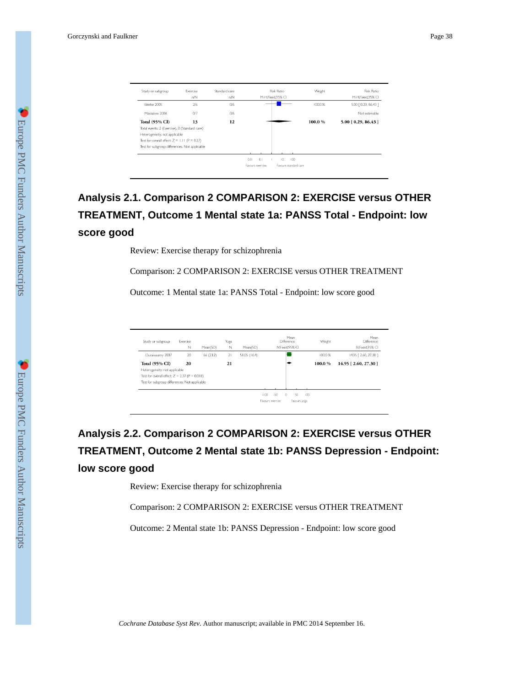| Study or subgroup                              | Exercise<br>n/N | Standard care<br>n/N | Risk Ratio<br>M-H,Fixed,95% CI            | Weight | Risk Ratio<br>M-H, Fixed, 95% CI |
|------------------------------------------------|-----------------|----------------------|-------------------------------------------|--------|----------------------------------|
| Beebe 2005                                     | 216             | O/6                  |                                           | 100.0% | 5.00 [ 0.29, 86.43 ]             |
| Marzaloni 2008                                 | 0/7             | O/6                  |                                           |        | Not estimable                    |
| <b>Total (95% CI)</b>                          | 13              | 12                   |                                           | 100.0% | $5.00$ [ 0.29, 86.43 ]           |
| Total events: 2 (Exercise), 0 (Standard care)  |                 |                      |                                           |        |                                  |
| Heterogeneity: not applicable                  |                 |                      |                                           |        |                                  |
| Test for overall effect: $Z = 1.11$ (P = 0.27) |                 |                      |                                           |        |                                  |
| Test for subgroup differences: Not applicable  |                 |                      |                                           |        |                                  |
|                                                |                 |                      |                                           |        |                                  |
|                                                |                 |                      | 0.1<br>$\overline{10}$<br>$100 -$<br>0.01 |        |                                  |
|                                                |                 |                      | Favours standard care<br>Favours exercise |        |                                  |

# **Analysis 2.1. Comparison 2 COMPARISON 2: EXERCISE versus OTHER TREATMENT, Outcome 1 Mental state 1a: PANSS Total - Endpoint: low score good**

Review: Exercise therapy for schizophrenia

Comparison: 2 COMPARISON 2: EXERCISE versus OTHER TREATMENT

Outcome: 1 Mental state 1a: PANSS Total - Endpoint: low score good

| Study or subgroup                                   | Exercise |           | Yoga |              |                  | Mean<br>Difference        | Weight | Mean<br>Difference  |
|-----------------------------------------------------|----------|-----------|------|--------------|------------------|---------------------------|--------|---------------------|
|                                                     | N        | Mean(SD)  | N    | Mean(SD)     |                  | IV.Fixed.95% CI           |        | IV.Fixed.95% CI     |
| Duraiswamy 2007                                     | 20       | 66 (23.2) | 21   | 51.05 (16.4) |                  |                           | 100.0% | 14.95   2.60, 27.30 |
| <b>Total (95% CI)</b>                               | 20       |           | 21   |              |                  |                           | 100.0% | 14.95 [2.60, 27.30] |
| Heterogeneity: not applicable                       |          |           |      |              |                  |                           |        |                     |
| Test for overall effect: $Z = 2.37$ ( $P = 0.018$ ) |          |           |      |              |                  |                           |        |                     |
| Test for subgroup differences: Not applicable       |          |           |      |              |                  |                           |        |                     |
|                                                     |          |           |      |              |                  |                           |        |                     |
|                                                     |          |           |      |              | $-50$<br>$-100$  | $\Omega$<br>50<br>$100 -$ |        |                     |
|                                                     |          |           |      |              | Favours exercise | Favours yoga              |        |                     |

# **Analysis 2.2. Comparison 2 COMPARISON 2: EXERCISE versus OTHER TREATMENT, Outcome 2 Mental state 1b: PANSS Depression - Endpoint: low score good**

Review: Exercise therapy for schizophrenia

Comparison: 2 COMPARISON 2: EXERCISE versus OTHER TREATMENT

Outcome: 2 Mental state 1b: PANSS Depression - Endpoint: low score good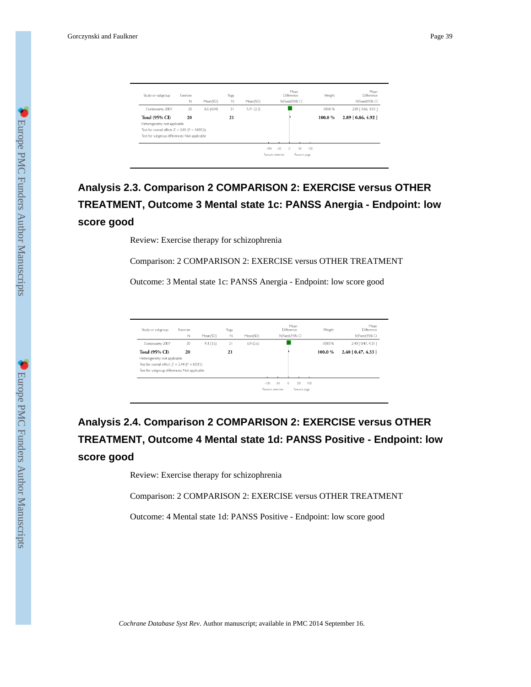| Study or subgroup                                    | Exercise<br>N | Mean(SD)   | Yoga<br>$\mathbb N$ | Mean(SD)  |                  | Mean<br>Difference<br>IV.Fixed.95% CI |     | Weight | Mean<br><b>Difference</b><br>IV.Fixed.95% CI |
|------------------------------------------------------|---------------|------------|---------------------|-----------|------------------|---------------------------------------|-----|--------|----------------------------------------------|
| Duraiswamy 2007                                      | 20            | 8.6 (4.04) | 21                  | 5.71(2.3) |                  |                                       |     | 100.0% | 2.89   0.86, 4.92 ]                          |
| <b>Total (95% CI)</b>                                | 20            |            | 21                  |           |                  |                                       |     | 100.0% | $2.89$ [ 0.86, 4.92 ]                        |
| Heterogeneity: not applicable                        |               |            |                     |           |                  |                                       |     |        |                                              |
| Test for overall effect: $Z = 2.80$ ( $P = 0.0052$ ) |               |            |                     |           |                  |                                       |     |        |                                              |
| Test for subgroup differences: Not applicable        |               |            |                     |           |                  |                                       |     |        |                                              |
|                                                      |               |            |                     |           |                  |                                       |     |        |                                              |
|                                                      |               |            |                     |           | $-50$<br>$-100$  | $\circ$<br>50                         | 100 |        |                                              |
|                                                      |               |            |                     |           | Favours exercise | Favours yoga                          |     |        |                                              |

# **Analysis 2.3. Comparison 2 COMPARISON 2: EXERCISE versus OTHER TREATMENT, Outcome 3 Mental state 1c: PANSS Anergia - Endpoint: low score good**

Review: Exercise therapy for schizophrenia

Comparison: 2 COMPARISON 2: EXERCISE versus OTHER TREATMENT

Outcome: 3 Mental state 1c: PANSS Anergia - Endpoint: low score good

| 9.3(3.6)<br>20 |                                                                                                        |          |                   |                  |         | IV.Fixed.95% CI             |
|----------------|--------------------------------------------------------------------------------------------------------|----------|-------------------|------------------|---------|-----------------------------|
|                | 21                                                                                                     | 6.9(2.6) |                   |                  | 100.0%  | 2.40 [ 0.47, 4.33 ]         |
|                | 21                                                                                                     |          |                   |                  | 100.0%  | $2.40 \mid 0.47, 4.33 \mid$ |
|                |                                                                                                        |          |                   |                  |         |                             |
|                |                                                                                                        |          |                   |                  |         |                             |
|                |                                                                                                        |          |                   |                  |         |                             |
|                |                                                                                                        |          | $-50$<br>$-100 -$ | 50               |         |                             |
|                | 20<br>Test for overall effect: $Z = 2.44$ (P = 0.015)<br>Test for subgroup differences: Not applicable |          |                   | Favours exercise | $\circ$ | 100<br>Favours yoga         |

# **Analysis 2.4. Comparison 2 COMPARISON 2: EXERCISE versus OTHER TREATMENT, Outcome 4 Mental state 1d: PANSS Positive - Endpoint: low score good**

Review: Exercise therapy for schizophrenia

Comparison: 2 COMPARISON 2: EXERCISE versus OTHER TREATMENT

Outcome: 4 Mental state 1d: PANSS Positive - Endpoint: low score good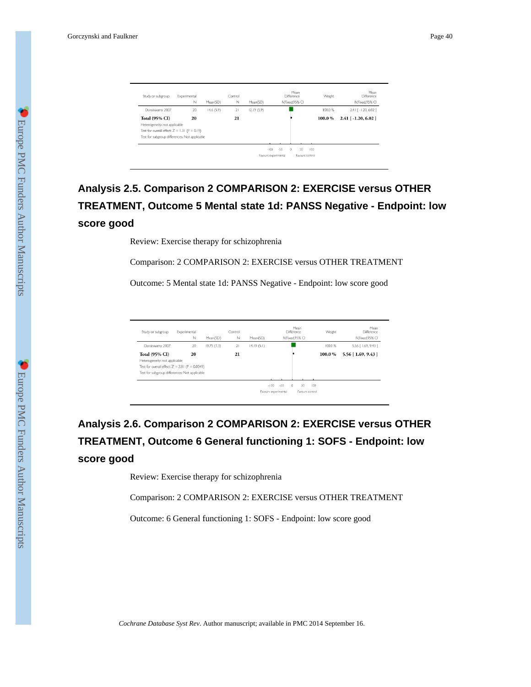| Study or subgroup                                  | Experimental<br>N | Mean(SD)  | Control<br>$\mathbb N$ | Mean(SD)   | Mean<br>Difference<br>N.Fixed.95% CI    | Weight  | Mean<br>Difference<br>IV.Fixed.95% CI |
|----------------------------------------------------|-------------------|-----------|------------------------|------------|-----------------------------------------|---------|---------------------------------------|
| Duraiswamy 2007                                    | 20                | 14.6(5.9) | 21                     | 12.19(5.9) |                                         | 100.0%  | 2.41 [ -1.20, 6.02 ]                  |
| <b>Total (95% CI)</b>                              | 20                |           | 21                     |            |                                         | 100.0%  | $2.41$ [ -1.20, 6.02 ]                |
| Heterogeneity: not applicable                      |                   |           |                        |            |                                         |         |                                       |
| Test for overall effect: $Z = 1.31$ ( $P = 0.19$ ) |                   |           |                        |            |                                         |         |                                       |
| Test for subgroup differences: Not applicable      |                   |           |                        |            |                                         |         |                                       |
|                                                    |                   |           |                        |            |                                         |         |                                       |
|                                                    |                   |           |                        |            | $-50$<br>$\circ$<br>50<br>$-100$        | $100 -$ |                                       |
|                                                    |                   |           |                        |            | Favours experimental<br>Favours control |         |                                       |

# **Analysis 2.5. Comparison 2 COMPARISON 2: EXERCISE versus OTHER TREATMENT, Outcome 5 Mental state 1d: PANSS Negative - Endpoint: low score good**

Review: Exercise therapy for schizophrenia

Comparison: 2 COMPARISON 2: EXERCISE versus OTHER TREATMENT

Outcome: 5 Mental state 1d: PANSS Negative - Endpoint: low score good

| Study or subgroup                                    | Experimental<br>N | Mean(SD)   | Control<br>N | Mean(SD)   | Mean<br>Difference<br>IV,Fixed,95% CI          | Weight  | Mean<br><b>Difference</b><br>IV.Fixed.95% CI |
|------------------------------------------------------|-------------------|------------|--------------|------------|------------------------------------------------|---------|----------------------------------------------|
| Duraiswamy 2007                                      | 20                | 19.75(7.3) | 21           | 14.19(5.1) |                                                | 100.0%  | 5.56 [ 1.69, 9.43 ]                          |
| <b>Total (95% CI)</b>                                | 20                |            | 21           |            |                                                | 100.0%  | $5.56$ [ 1.69, 9.43 ]                        |
| Heterogeneity: not applicable                        |                   |            |              |            |                                                |         |                                              |
| Test for overall effect: $Z = 2.81$ ( $P = 0.0049$ ) |                   |            |              |            |                                                |         |                                              |
| Test for subgroup differences: Not applicable        |                   |            |              |            |                                                |         |                                              |
|                                                      |                   |            |              |            |                                                |         |                                              |
|                                                      |                   |            |              |            | $-50$<br>50<br>$-100$<br>$\Omega$              | $100 -$ |                                              |
|                                                      |                   |            |              |            | Favours experimental<br><b>Eavours</b> control |         |                                              |

# **Analysis 2.6. Comparison 2 COMPARISON 2: EXERCISE versus OTHER TREATMENT, Outcome 6 General functioning 1: SOFS - Endpoint: low score good**

Review: Exercise therapy for schizophrenia

Comparison: 2 COMPARISON 2: EXERCISE versus OTHER TREATMENT

Outcome: 6 General functioning 1: SOFS - Endpoint: low score good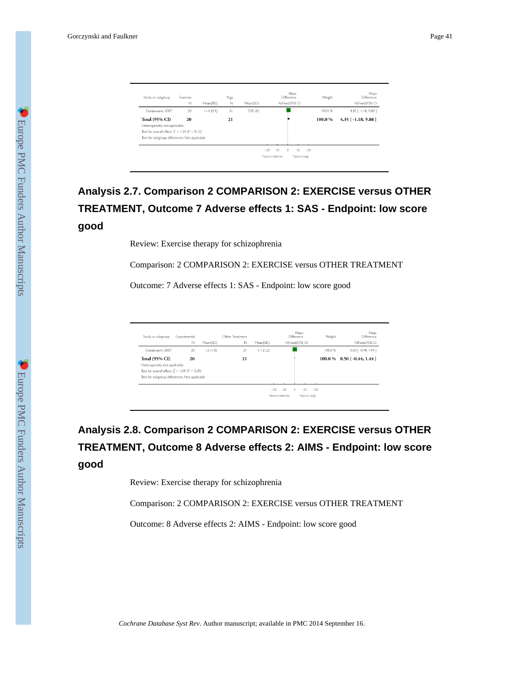| Study or subgroup                                  | Exercise<br>$\mathbb N$ | Mean(SD)  | Yoga<br>Ν | Mean(SD) | Mean<br>Difference<br>IV.Fixed.95% CI                                            | Weight | Mean<br>Difference<br>IV.Fixed.95% CI |
|----------------------------------------------------|-------------------------|-----------|-----------|----------|----------------------------------------------------------------------------------|--------|---------------------------------------|
| Duraiswamy 2007                                    | 20                      | 11.4(9.9) | 21        | 7.05(8)  |                                                                                  | 100.0% | 4.35 [-1.18, 9.88]                    |
| <b>Total (95% CI)</b>                              | 20                      |           | 21        |          |                                                                                  | 100.0% | $4.35$ [ -1.18, 9.88 ]                |
| Heterogeneity: not applicable                      |                         |           |           |          |                                                                                  |        |                                       |
| Test for overall effect: $Z = 1.54$ ( $P = 0.12$ ) |                         |           |           |          |                                                                                  |        |                                       |
| Test for subgroup differences: Not applicable      |                         |           |           |          |                                                                                  |        |                                       |
|                                                    |                         |           |           |          | $-50$<br>50<br>$-100$<br>$\mathbf{r}$<br>100<br>Favours exercise<br>Favours yoga |        |                                       |

# **Analysis 2.7. Comparison 2 COMPARISON 2: EXERCISE versus OTHER TREATMENT, Outcome 7 Adverse effects 1: SAS - Endpoint: low score good**

Review: Exercise therapy for schizophrenia

Comparison: 2 COMPARISON 2: EXERCISE versus OTHER TREATMENT

Outcome: 7 Adverse effects 1: SAS - Endpoint: low score good

| Study or subgroup                                  | Experimental<br>$\mathbb N$ | Mean(SD) | Other Treatment<br>N | Mean(SD) |                   | Mean<br><b>Difference</b><br>IV.Fixed.95% CI | Weight | Mean<br>Difference<br>IV, Fixed, 95% CI |
|----------------------------------------------------|-----------------------------|----------|----------------------|----------|-------------------|----------------------------------------------|--------|-----------------------------------------|
| Duraiswamy 2007                                    | 20                          | 1.6(1.8) | 21                   | 1.1(1.2) |                   |                                              | 100.0% | 0.50 [ -0.44, 1.44 ]                    |
| <b>Total (95% CI)</b>                              | 20                          |          | 21                   |          |                   |                                              |        | $100.0\%$ 0.50 [-0.44, 1.44]            |
| Heterogeneity: not applicable                      |                             |          |                      |          |                   |                                              |        |                                         |
| Test for overall effect: $Z = 1.04$ ( $P = 0.30$ ) |                             |          |                      |          |                   |                                              |        |                                         |
| Test for subgroup differences: Not applicable      |                             |          |                      |          |                   |                                              |        |                                         |
|                                                    |                             |          |                      |          |                   |                                              |        |                                         |
|                                                    |                             |          |                      |          | $-100 -$<br>$-50$ | 50<br>$\Omega$                               | 100    |                                         |
|                                                    |                             |          |                      |          | Favours exercise  | Favours yoga                                 |        |                                         |

# **Analysis 2.8. Comparison 2 COMPARISON 2: EXERCISE versus OTHER TREATMENT, Outcome 8 Adverse effects 2: AIMS - Endpoint: low score good**

Review: Exercise therapy for schizophrenia

Comparison: 2 COMPARISON 2: EXERCISE versus OTHER TREATMENT

Outcome: 8 Adverse effects 2: AIMS - Endpoint: low score good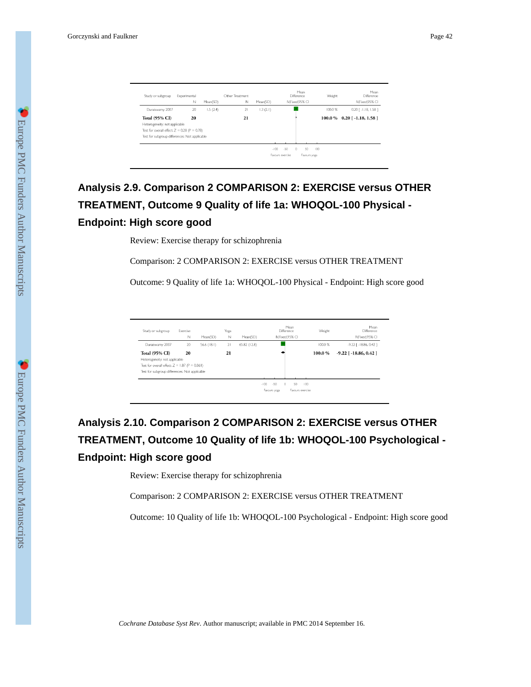| Study or subgroup                                  | Experimental<br>Ν | Mean(SD) | Other Treatment<br>N | Mean(SD) |                  | Mean<br><b>Difference</b><br>IV.Fixed,95% CI | Weight | Mean<br><b>Difference</b><br>IV.Fixed,95% CI |
|----------------------------------------------------|-------------------|----------|----------------------|----------|------------------|----------------------------------------------|--------|----------------------------------------------|
| Duraiswamy 2007                                    | 20                | 1.5(2.4) | 21                   | 1.3(2.1) |                  |                                              | 100.0% | $0.20$ [ $-1.18$ , $1.58$ ]                  |
| <b>Total (95% CI)</b>                              | 20                |          | 21                   |          |                  |                                              |        | $100.0\%$ 0.20 [-1.18, 1.58]                 |
| Heterogeneity: not applicable                      |                   |          |                      |          |                  |                                              |        |                                              |
| Test for overall effect: $Z = 0.28$ ( $P = 0.78$ ) |                   |          |                      |          |                  |                                              |        |                                              |
| Test for subgroup differences: Not applicable      |                   |          |                      |          |                  |                                              |        |                                              |
|                                                    |                   |          |                      |          |                  |                                              |        |                                              |
|                                                    |                   |          |                      | $-100$   | $-50$            | 50<br>$\Omega$                               | $-100$ |                                              |
|                                                    |                   |          |                      |          | Fayours exercise | Favours yoga                                 |        |                                              |

# **Analysis 2.9. Comparison 2 COMPARISON 2: EXERCISE versus OTHER TREATMENT, Outcome 9 Quality of life 1a: WHOQOL-100 Physical - Endpoint: High score good**

Review: Exercise therapy for schizophrenia

Comparison: 2 COMPARISON 2: EXERCISE versus OTHER TREATMENT

Outcome: 9 Quality of life 1a: WHOQOL-100 Physical - Endpoint: High score good

| Study or subgroup                                                                                                                     | Exercise<br>N | Mean(SD)      | Yoga<br>N | Mean(SD)     | Mean<br><b>Difference</b><br>IV.Fixed.95% CI                                 | Weight | Mean<br><b>Difference</b><br>IV.Fixed.95% CI |
|---------------------------------------------------------------------------------------------------------------------------------------|---------------|---------------|-----------|--------------|------------------------------------------------------------------------------|--------|----------------------------------------------|
| Duraiswamy 2007                                                                                                                       | 20            | $56.6$ (18.1) | 21        | 65.82 (12.8) |                                                                              | 100.0% | $-9.22$ [ $-18.86$ , 0.42]                   |
| <b>Total (95% CI)</b>                                                                                                                 | 20            |               | 21        |              |                                                                              | 100.0% | $-9.22$ [ $-18.86, 0.42$ ]                   |
| Heterogeneity: not applicable<br>Test for overall effect: $Z = 1.87$ ( $P = 0.061$ )<br>Test for subgroup differences: Not applicable |               |               |           |              |                                                                              |        |                                              |
|                                                                                                                                       |               |               |           |              | $-50$<br>$-100$<br>$\Omega$<br>50<br>100<br>Favours exercise<br>Favours yoga |        |                                              |

# **Analysis 2.10. Comparison 2 COMPARISON 2: EXERCISE versus OTHER TREATMENT, Outcome 10 Quality of life 1b: WHOQOL-100 Psychological - Endpoint: High score good**

Review: Exercise therapy for schizophrenia

Comparison: 2 COMPARISON 2: EXERCISE versus OTHER TREATMENT

Outcome: 10 Quality of life 1b: WHOQOL-100 Psychological - Endpoint: High score good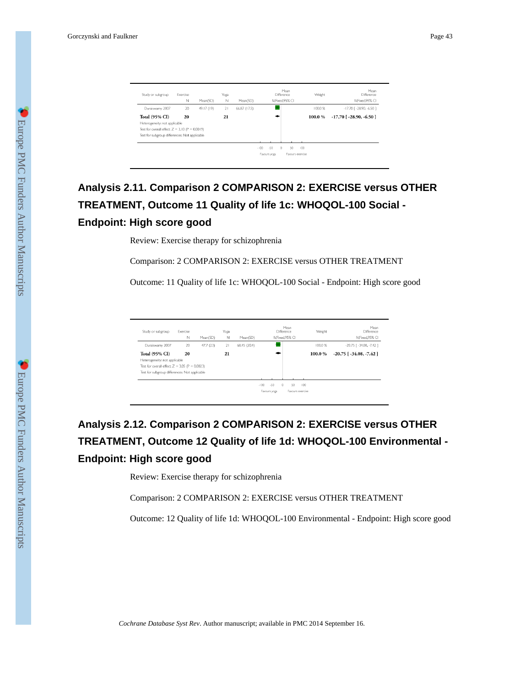| Exercise |                                    | Yoga                                                                                                              |              | Mean<br>Difference         | Weight | Mean<br><b>Difference</b>                 |
|----------|------------------------------------|-------------------------------------------------------------------------------------------------------------------|--------------|----------------------------|--------|-------------------------------------------|
|          |                                    |                                                                                                                   |              |                            |        | IV.Fixed,95% CI                           |
| 20       | 49.17 (19)                         | 21                                                                                                                | 66.87 (17.5) |                            | 100.0% | $-17.70$ [ $-28.90, -6.50$ ]              |
| 20       |                                    | 21                                                                                                                |              |                            | 100.0% | $-17.70$ [ $-28.90, -6.50$ ]              |
|          |                                    |                                                                                                                   |              |                            |        |                                           |
|          |                                    |                                                                                                                   |              |                            |        |                                           |
|          |                                    |                                                                                                                   |              |                            |        |                                           |
|          |                                    |                                                                                                                   |              |                            |        |                                           |
|          |                                    |                                                                                                                   |              | $-50$<br>$-100$<br>$\circ$ | 100    |                                           |
|          |                                    |                                                                                                                   |              | Favours yoga               |        |                                           |
|          | Ν<br>Heterogeneity: not applicable | Mean(SD)<br>Test for overall effect: $Z = 3.10$ ( $P = 0.0019$ )<br>Test for subgroup differences: Not applicable | $\mathbb N$  | Mean(SD)                   |        | IV.Fixed.95% CI<br>50<br>Favours exercise |

# **Analysis 2.11. Comparison 2 COMPARISON 2: EXERCISE versus OTHER TREATMENT, Outcome 11 Quality of life 1c: WHOQOL-100 Social - Endpoint: High score good**

Review: Exercise therapy for schizophrenia

Comparison: 2 COMPARISON 2: EXERCISE versus OTHER TREATMENT

Outcome: 11 Quality of life 1c: WHOQOL-100 Social - Endpoint: High score good

| Study or subgroup                                | Exercise<br>N | Mean(SD) | Yoga<br>N | Mean(SD)     |                               | Mean<br>Difference<br>IV.Fixed.95% CI | Weight | Mean<br>Difference<br>IV.Fixed.95% CI |
|--------------------------------------------------|---------------|----------|-----------|--------------|-------------------------------|---------------------------------------|--------|---------------------------------------|
| Duraiswamy 2007                                  | 20            | 47.7(23) | 21        | 68.45 (20.4) |                               |                                       | 100.0% | $-20.75$ [ $-34.08, -7.42$ ]          |
| <b>Total (95% CI)</b>                            | 20            |          | 21        |              |                               |                                       | 100.0% | $-20.75$ [ $-34.08$ , $-7.42$ ]       |
| Heterogeneity: not applicable                    |               |          |           |              |                               |                                       |        |                                       |
| Test for overall effect: $Z = 3.05$ (P = 0.0023) |               |          |           |              |                               |                                       |        |                                       |
| Test for subgroup differences: Not applicable    |               |          |           |              |                               |                                       |        |                                       |
|                                                  |               |          |           |              |                               |                                       |        |                                       |
|                                                  |               |          |           |              | $-100$<br>$-50$<br>$^{\circ}$ | 50                                    | 100    |                                       |
|                                                  |               |          |           |              | Favours yoga                  | Favours exercise                      |        |                                       |
|                                                  |               |          |           |              |                               |                                       |        |                                       |

# **Analysis 2.12. Comparison 2 COMPARISON 2: EXERCISE versus OTHER TREATMENT, Outcome 12 Quality of life 1d: WHOQOL-100 Environmental - Endpoint: High score good**

Review: Exercise therapy for schizophrenia

Comparison: 2 COMPARISON 2: EXERCISE versus OTHER TREATMENT

Outcome: 12 Quality of life 1d: WHOQOL-100 Environmental - Endpoint: High score good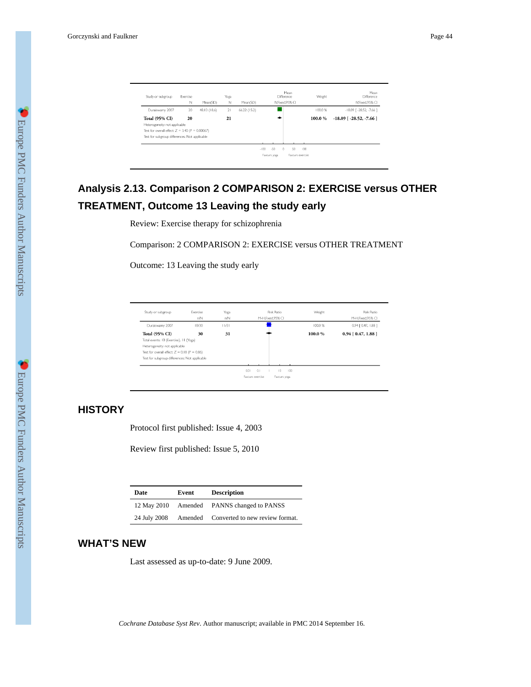| Study or subgroup                                 | Exercise |              | Yoga |              | Mean<br><b>Difference</b>         | Weight  | Mean<br><b>Difference</b>       |
|---------------------------------------------------|----------|--------------|------|--------------|-----------------------------------|---------|---------------------------------|
|                                                   | Ν        | Mean(SD)     | Ν    | Mean(SD)     | IV,Fixed,95% CI                   |         | IV.Fixed.95% CI                 |
| Duraiswamy 2007                                   | 20       | 48.13 (18.6) | 21   | 66.22 (15.2) |                                   | 100.0%  | $-18.09$ [ $-28.52$ , $-7.66$ ] |
| <b>Total (95% CI)</b>                             | 20       |              | 21   |              |                                   | 100.0%  | $-18.09$ [ $-28.52, -7.66$ ]    |
| Heterogeneity: not applicable                     |          |              |      |              |                                   |         |                                 |
| Test for overall effect: $Z = 3.40$ (P = 0.00067) |          |              |      |              |                                   |         |                                 |
| Test for subgroup differences: Not applicable     |          |              |      |              |                                   |         |                                 |
|                                                   |          |              |      |              |                                   |         |                                 |
|                                                   |          |              |      |              | $-50$<br>$\theta$<br>50<br>$-100$ | $100 -$ |                                 |
|                                                   |          |              |      |              | Favours exercsie<br>Favours yoga  |         |                                 |

# **Analysis 2.13. Comparison 2 COMPARISON 2: EXERCISE versus OTHER TREATMENT, Outcome 13 Leaving the study early**

Review: Exercise therapy for schizophrenia

Comparison: 2 COMPARISON 2: EXERCISE versus OTHER TREATMENT

Outcome: 13 Leaving the study early

| Study or subgroup                                  | Exercise<br>n/N | Yoga<br>n/N | Risk Ratio<br>M-H.Fixed.95% CI   | Weight | Risk Ratio<br>M-H.Fixed.95% CI |
|----------------------------------------------------|-----------------|-------------|----------------------------------|--------|--------------------------------|
| Duraiswamy 2007                                    | 10/30           | 11/31       |                                  | 100.0% | 0.94 [ 0.47, 1.88 ]            |
| <b>Total (95% CI)</b>                              | 30              | 31          |                                  | 100.0% | $0.94$ [ $0.47, 1.88$ ]        |
| Total events: 10 (Exercise), 11 (Yoga)             |                 |             |                                  |        |                                |
| Heterogeneity: not applicable                      |                 |             |                                  |        |                                |
| Test for overall effect: $Z = 0.18$ ( $P = 0.86$ ) |                 |             |                                  |        |                                |
| Test for subgroup differences: Not applicable      |                 |             |                                  |        |                                |
|                                                    |                 |             | 0.01<br>0.1<br>10<br>100         |        |                                |
|                                                    |                 |             | Favours exercise<br>Favours yoga |        |                                |

## **HISTORY**

Protocol first published: Issue 4, 2003

Review first published: Issue 5, 2010

| Date         | Event | <b>Description</b>                      |
|--------------|-------|-----------------------------------------|
| 12 May 2010  |       | Amended PANNS changed to PANSS          |
| 24 July 2008 |       | Amended Converted to new review format. |

## **WHAT'S NEW**

Last assessed as up-to-date: 9 June 2009.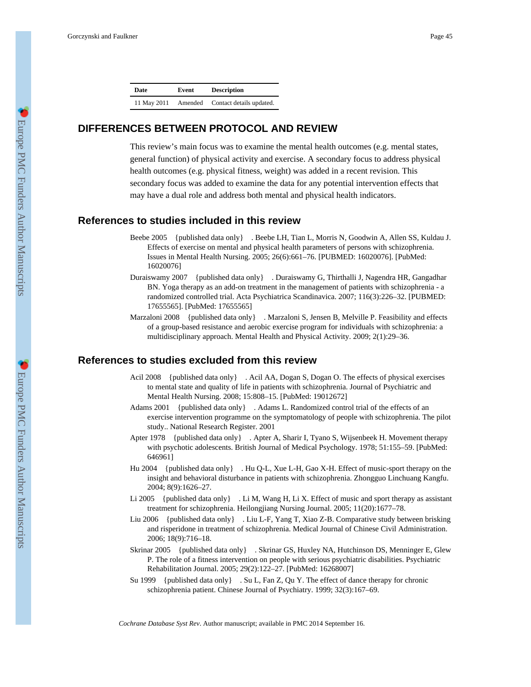| Date        | Event   | <b>Description</b>       |
|-------------|---------|--------------------------|
| 11 May 2011 | Amended | Contact details updated. |

## **DIFFERENCES BETWEEN PROTOCOL AND REVIEW**

This review's main focus was to examine the mental health outcomes (e.g. mental states, general function) of physical activity and exercise. A secondary focus to address physical health outcomes (e.g. physical fitness, weight) was added in a recent revision. This secondary focus was added to examine the data for any potential intervention effects that may have a dual role and address both mental and physical health indicators.

### **References to studies included in this review**

- Beebe 2005 {published data only} . Beebe LH, Tian L, Morris N, Goodwin A, Allen SS, Kuldau J. Effects of exercise on mental and physical health parameters of persons with schizophrenia. Issues in Mental Health Nursing. 2005; 26(6):661–76. [PUBMED: 16020076]. [PubMed: 16020076]
- Duraiswamy 2007 {published data only} . Duraiswamy G, Thirthalli J, Nagendra HR, Gangadhar BN. Yoga therapy as an add-on treatment in the management of patients with schizophrenia - a randomized controlled trial. Acta Psychiatrica Scandinavica. 2007; 116(3):226–32. [PUBMED: 17655565]. [PubMed: 17655565]
- Marzaloni 2008 {published data only} . Marzaloni S, Jensen B, Melville P. Feasibility and effects of a group-based resistance and aerobic exercise program for individuals with schizophrenia: a multidisciplinary approach. Mental Health and Physical Activity. 2009; 2(1):29–36.

### **References to studies excluded from this review**

- Acil 2008 {published data only} . Acil AA, Dogan S, Dogan O. The effects of physical exercises to mental state and quality of life in patients with schizophrenia. Journal of Psychiatric and Mental Health Nursing. 2008; 15:808–15. [PubMed: 19012672]
- Adams 2001 {published data only} . Adams L. Randomized control trial of the effects of an exercise intervention programme on the symptomatology of people with schizophrenia. The pilot study.. National Research Register. 2001
- Apter 1978 {published data only} . Apter A, Sharir I, Tyano S, Wijsenbeek H. Movement therapy with psychotic adolescents. British Journal of Medical Psychology. 1978; 51:155–59. [PubMed: 646961]
- Hu 2004 {published data only} . Hu Q-L, Xue L-H, Gao X-H. Effect of music-sport therapy on the insight and behavioral disturbance in patients with schizophrenia. Zhongguo Linchuang Kangfu. 2004; 8(9):1626–27.
- Li 2005 {published data only} . Li M, Wang H, Li X. Effect of music and sport therapy as assistant treatment for schizophrenia. Heilongjiang Nursing Journal. 2005; 11(20):1677–78.
- Liu 2006 {published data only} . Liu L-F, Yang T, Xiao Z-B. Comparative study between brisking and risperidone in treatment of schizophrenia. Medical Journal of Chinese Civil Administration. 2006; 18(9):716–18.
- Skrinar 2005 {published data only} . Skrinar GS, Huxley NA, Hutchinson DS, Menninger E, Glew P. The role of a fitness intervention on people with serious psychiatric disabilities. Psychiatric Rehabilitation Journal. 2005; 29(2):122–27. [PubMed: 16268007]
- Su 1999 {published data only} . Su L, Fan Z, Qu Y. The effect of dance therapy for chronic schizophrenia patient. Chinese Journal of Psychiatry. 1999; 32(3):167–69.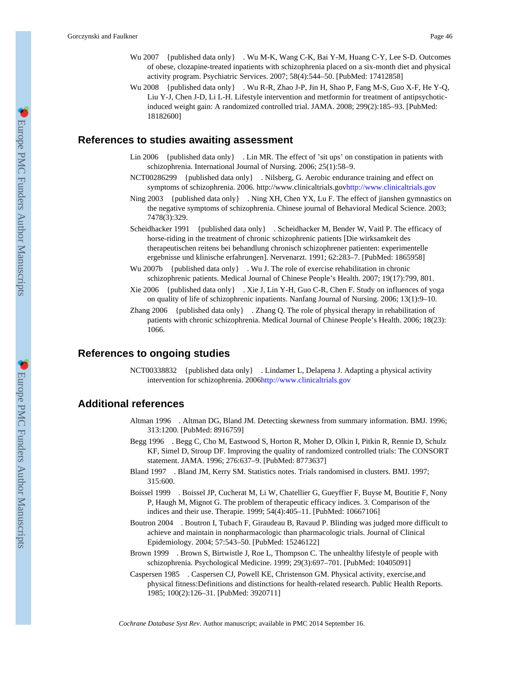- Wu 2007 {published data only} . Wu M-K, Wang C-K, Bai Y-M, Huang C-Y, Lee S-D. Outcomes of obese, clozapine-treated inpatients with schizophrenia placed on a six-month diet and physical activity program. Psychiatric Services. 2007; 58(4):544–50. [PubMed: 17412858]
- Wu 2008 {published data only } . Wu R-R, Zhao J-P, Jin H, Shao P, Fang M-S, Guo X-F, He Y-Q, Liu Y-J, Chen J-D, Li L-H. Lifestyle intervention and metformin for treatment of antipsychoticinduced weight gain: A randomized controlled trial. JAMA. 2008; 299(2):185–93. [PubMed: 18182600]

### **References to studies awaiting assessment**

- Lin 2006 {published data only} . Lin MR. The effect of 'sit ups' on constipation in patients with schizophrenia. International Journal of Nursing. 2006; 25(1):58–9.
- NCT00286299 {published data only} . Nilsberg, G. Aerobic endurance training and effect on symptoms of schizophrenia. 2006. http://www.clinicaltrials.go[vhttp://www.clinicaltrials.gov](http://www.clinicaltrials.gov)
- Ning 2003 {published data only} . Ning XH, Chen YX, Lu F. The effect of jianshen gymnastics on the negative symptoms of schizophrenia. Chinese journal of Behavioral Medical Science. 2003; 7478(3):329.
- Scheidhacker 1991 {published data only} . Scheidhacker M, Bender W, Vaitl P. The efficacy of horse-riding in the treatment of chronic schizophrenic patients [Die wirksamkeit des therapeutischen reitens bei behandlung chronisch schizophrener patienten: experimentelle ergebnisse und klinische erfahrungen]. Nervenarzt. 1991; 62:283–7. [PubMed: 1865958]
- Wu 2007b {published data only} . Wu J. The role of exercise rehabilitation in chronic schizophrenic patients. Medical Journal of Chinese People's Health. 2007; 19(17):799, 801.
- Xie 2006 {published data only} . Xie J, Lin Y-H, Guo C-R, Chen F. Study on influences of yoga on quality of life of schizophrenic inpatients. Nanfang Journal of Nursing. 2006; 13(1):9–10.
- Zhang 2006 {published data only} . Zhang Q. The role of physical therapy in rehabilitation of patients with chronic schizophrenia. Medical Journal of Chinese People's Health. 2006; 18(23): 1066.

## **References to ongoing studies**

NCT00338832 {published data only} . Lindamer L, Delapena J. Adapting a physical activity intervention for schizophrenia. 2006<http://www.clinicaltrials.gov>

### **Additional references**

- Altman 1996 . Altman DG, Bland JM. Detecting skewness from summary information. BMJ. 1996; 313:1200. [PubMed: 8916759]
- Begg 1996 . Begg C, Cho M, Eastwood S, Horton R, Moher D, Olkin I, Pitkin R, Rennie D, Schulz KF, Simel D, Stroup DF. Improving the quality of randomized controlled trials: The CONSORT statement. JAMA. 1996; 276:637–9. [PubMed: 8773637]
- Bland 1997 . Bland JM, Kerry SM. Statistics notes. Trials randomised in clusters. BMJ. 1997; 315:600.
- Boissel 1999 . Boissel JP, Cucherat M, Li W, Chatellier G, Gueyffier F, Buyse M, Boutitie F, Nony P, Haugh M, Mignot G. The problem of therapeutic efficacy indices. 3. Comparison of the indices and their use. Therapie. 1999; 54(4):405–11. [PubMed: 10667106]
- Boutron 2004 . Boutron I, Tubach F, Giraudeau B, Ravaud P. Blinding was judged more difficult to achieve and maintain in nonpharmacologic than pharmacologic trials. Journal of Clinical Epidemiology. 2004; 57:543–50. [PubMed: 15246122]
- Brown 1999 . Brown S, Birtwistle J, Roe L, Thompson C. The unhealthy lifestyle of people with schizophrenia. Psychological Medicine. 1999; 29(3):697–701. [PubMed: 10405091]
- Caspersen 1985 . Caspersen CJ, Powell KE, Christenson GM. Physical activity, exercise,and physical fitness:Definitions and distinctions for health-related research. Public Health Reports. 1985; 100(2):126–31. [PubMed: 3920711]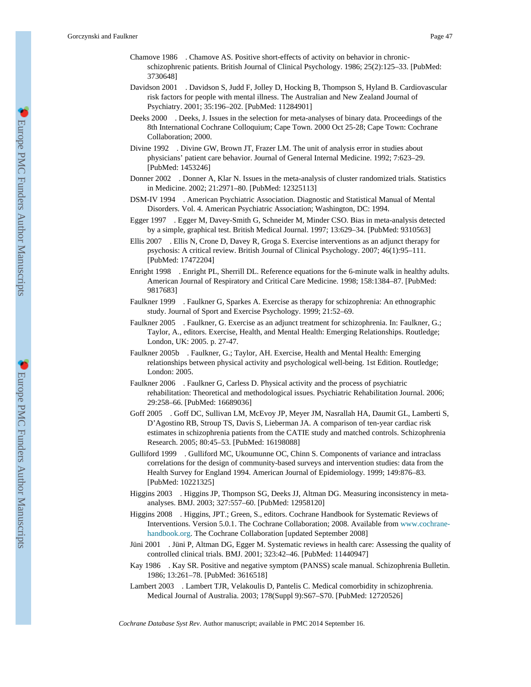- Chamove 1986 . Chamove AS. Positive short-effects of activity on behavior in chronicschizophrenic patients. British Journal of Clinical Psychology. 1986; 25(2):125–33. [PubMed: 3730648]
- Davidson 2001 . Davidson S, Judd F, Jolley D, Hocking B, Thompson S, Hyland B. Cardiovascular risk factors for people with mental illness. The Australian and New Zealand Journal of Psychiatry. 2001; 35:196–202. [PubMed: 11284901]
- Deeks 2000 . Deeks, J. Issues in the selection for meta-analyses of binary data. Proceedings of the 8th International Cochrane Colloquium; Cape Town. 2000 Oct 25-28; Cape Town: Cochrane Collaboration; 2000.
- Divine 1992 . Divine GW, Brown JT, Frazer LM. The unit of analysis error in studies about physicians' patient care behavior. Journal of General Internal Medicine. 1992; 7:623–29. [PubMed: 1453246]
- Donner 2002 . Donner A, Klar N. Issues in the meta-analysis of cluster randomized trials. Statistics in Medicine. 2002; 21:2971–80. [PubMed: 12325113]
- DSM-IV 1994 . American Psychiatric Association. Diagnostic and Statistical Manual of Mental Disorders. Vol. 4. American Psychiatric Association; Washington, DC: 1994.
- Egger 1997 . Egger M, Davey-Smith G, Schneider M, Minder CSO. Bias in meta-analysis detected by a simple, graphical test. British Medical Journal. 1997; 13:629–34. [PubMed: 9310563]
- Ellis 2007 . Ellis N, Crone D, Davey R, Groga S. Exercise interventions as an adjunct therapy for psychosis: A critical review. British Journal of Clinical Psychology. 2007; 46(1):95–111. [PubMed: 17472204]
- Enright 1998 . Enright PL, Sherrill DL. Reference equations for the 6-minute walk in healthy adults. American Journal of Respiratory and Critical Care Medicine. 1998; 158:1384–87. [PubMed: 9817683]
- Faulkner 1999 . Faulkner G, Sparkes A. Exercise as therapy for schizophrenia: An ethnographic study. Journal of Sport and Exercise Psychology. 1999; 21:52–69.
- Faulkner 2005 . Faulkner, G. Exercise as an adjunct treatment for schizophrenia. In: Faulkner, G.; Taylor, A., editors. Exercise, Health, and Mental Health: Emerging Relationships. Routledge; London, UK: 2005. p. 27-47.
- Faulkner 2005b . Faulkner, G.; Taylor, AH. Exercise, Health and Mental Health: Emerging relationships between physical activity and psychological well-being. 1st Edition. Routledge; London: 2005.
- Faulkner 2006 . Faulkner G, Carless D. Physical activity and the process of psychiatric rehabilitation: Theoretical and methodological issues. Psychiatric Rehabilitation Journal. 2006; 29:258–66. [PubMed: 16689036]
- Goff 2005 . Goff DC, Sullivan LM, McEvoy JP, Meyer JM, Nasrallah HA, Daumit GL, Lamberti S, D'Agostino RB, Stroup TS, Davis S, Lieberman JA. A comparison of ten-year cardiac risk estimates in schizophrenia patients from the CATIE study and matched controls. Schizophrenia Research. 2005; 80:45–53. [PubMed: 16198088]
- Gulliford 1999 . Gulliford MC, Ukoumunne OC, Chinn S. Components of variance and intraclass correlations for the design of community-based surveys and intervention studies: data from the Health Survey for England 1994. American Journal of Epidemiology. 1999; 149:876–83. [PubMed: 10221325]
- Higgins 2003 . Higgins JP, Thompson SG, Deeks JJ, Altman DG. Measuring inconsistency in metaanalyses. BMJ. 2003; 327:557–60. [PubMed: 12958120]
- Higgins 2008 . Higgins, JPT.; Green, S., editors. Cochrane Handbook for Systematic Reviews of Interventions. Version 5.0.1. The Cochrane Collaboration; 2008. Available from [www.cochrane](http://www.cochrane-handbook.org)[handbook.org.](http://www.cochrane-handbook.org) The Cochrane Collaboration [updated September 2008]
- Jüni 2001 . Jüni P, Altman DG, Egger M. Systematic reviews in health care: Assessing the quality of controlled clinical trials. BMJ. 2001; 323:42–46. [PubMed: 11440947]
- Kay 1986 . Kay SR. Positive and negative symptom (PANSS) scale manual. Schizophrenia Bulletin. 1986; 13:261–78. [PubMed: 3616518]
- Lambert 2003 . Lambert TJR, Velakoulis D, Pantelis C. Medical comorbidity in schizophrenia. Medical Journal of Australia. 2003; 178(Suppl 9):S67–S70. [PubMed: 12720526]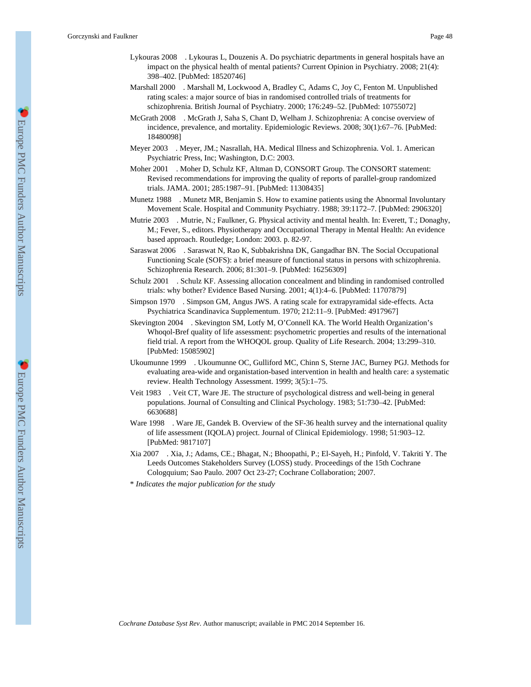- Lykouras 2008 . Lykouras L, Douzenis A. Do psychiatric departments in general hospitals have an impact on the physical health of mental patients? Current Opinion in Psychiatry. 2008; 21(4): 398–402. [PubMed: 18520746]
- Marshall 2000 . Marshall M, Lockwood A, Bradley C, Adams C, Joy C, Fenton M. Unpublished rating scales: a major source of bias in randomised controlled trials of treatments for schizophrenia. British Journal of Psychiatry. 2000; 176:249–52. [PubMed: 10755072]
- McGrath 2008 . McGrath J, Saha S, Chant D, Welham J. Schizophrenia: A concise overview of incidence, prevalence, and mortality. Epidemiologic Reviews. 2008; 30(1):67–76. [PubMed: 18480098]
- Meyer 2003 . Meyer, JM.; Nasrallah, HA. Medical Illness and Schizophrenia. Vol. 1. American Psychiatric Press, Inc; Washington, D.C: 2003.
- Moher 2001 . Moher D, Schulz KF, Altman D, CONSORT Group. The CONSORT statement: Revised recommendations for improving the quality of reports of parallel-group randomized trials. JAMA. 2001; 285:1987–91. [PubMed: 11308435]
- Munetz 1988 . Munetz MR, Benjamin S. How to examine patients using the Abnormal Involuntary Movement Scale. Hospital and Community Psychiatry. 1988; 39:1172–7. [PubMed: 2906320]
- Mutrie 2003 . Mutrie, N.; Faulkner, G. Physical activity and mental health. In: Everett, T.; Donaghy, M.; Fever, S., editors. Physiotherapy and Occupational Therapy in Mental Health: An evidence based approach. Routledge; London: 2003. p. 82-97.
- Saraswat 2006 . Saraswat N, Rao K, Subbakrishna DK, Gangadhar BN. The Social Occupational Functioning Scale (SOFS): a brief measure of functional status in persons with schizophrenia. Schizophrenia Research. 2006; 81:301–9. [PubMed: 16256309]
- Schulz 2001 . Schulz KF. Assessing allocation concealment and blinding in randomised controlled trials: why bother? Evidence Based Nursing. 2001; 4(1):4–6. [PubMed: 11707879]
- Simpson 1970 . Simpson GM, Angus JWS. A rating scale for extrapyramidal side-effects. Acta Psychiatrica Scandinavica Supplementum. 1970; 212:11–9. [PubMed: 4917967]
- Skevington 2004 . Skevington SM, Lotfy M, O'Connell KA. The World Health Organization's Whoqol-Bref quality of life assessment: psychometric properties and results of the international field trial. A report from the WHOQOL group. Quality of Life Research. 2004; 13:299–310. [PubMed: 15085902]
- Ukoumunne 1999 . Ukoumunne OC, Gulliford MC, Chinn S, Sterne JAC, Burney PGJ. Methods for evaluating area-wide and organistation-based intervention in health and health care: a systematic review. Health Technology Assessment. 1999; 3(5):1–75.
- Veit 1983 . Veit CT, Ware JE. The structure of psychological distress and well-being in general populations. Journal of Consulting and Clinical Psychology. 1983; 51:730–42. [PubMed: 6630688]
- Ware 1998 . Ware JE, Gandek B. Overview of the SF-36 health survey and the international quality of life assessment (IQOLA) project. Journal of Clinical Epidemiology. 1998; 51:903–12. [PubMed: 9817107]
- Xia 2007 . Xia, J.; Adams, CE.; Bhagat, N.; Bhoopathi, P.; El-Sayeh, H.; Pinfold, V. Takriti Y. The Leeds Outcomes Stakeholders Survey (LOSS) study. Proceedings of the 15th Cochrane Cologquium; Sao Paulo. 2007 Oct 23-27; Cochrane Collaboration; 2007.
- \* *Indicates the major publication for the study*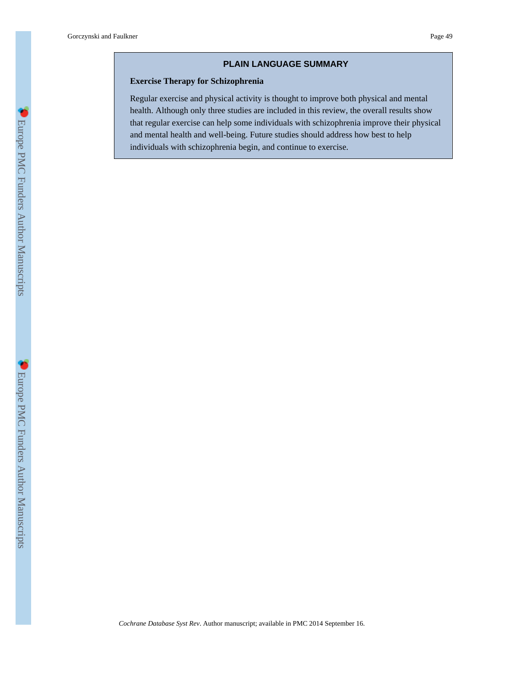### **PLAIN LANGUAGE SUMMARY**

### **Exercise Therapy for Schizophrenia**

Regular exercise and physical activity is thought to improve both physical and mental health. Although only three studies are included in this review, the overall results show that regular exercise can help some individuals with schizophrenia improve their physical and mental health and well-being. Future studies should address how best to help individuals with schizophrenia begin, and continue to exercise.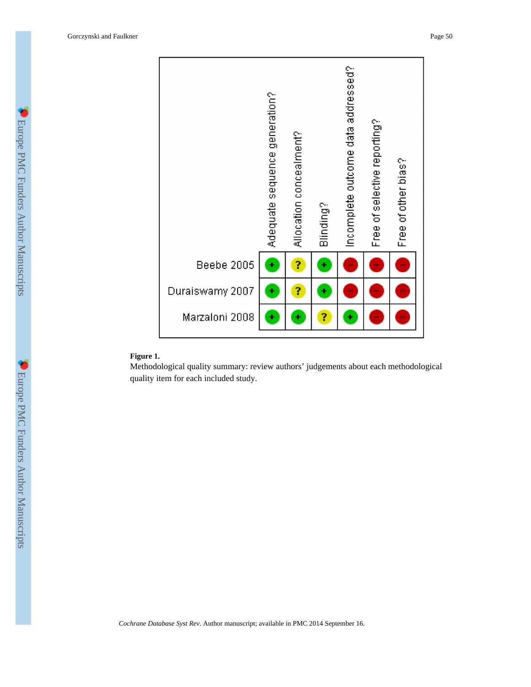

### **Figure 1.**

Methodological quality summary: review authors' judgements about each methodological quality item for each included study.